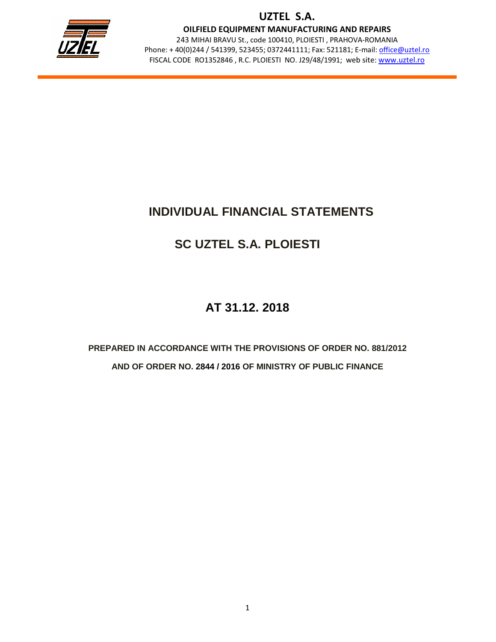

OILFIELD EQUIPMENT MANUFACTURING AND REPAIRS

243 MIHAI BRAVU St., code 100410, PLOIESTI , PRAHOVA-ROMANIA Phone: + 40(0)244 / 541399, 523455; 0372441111; Fax: 521181; E-mail: office@uztel.ro FISCAL CODE RO1352846 , R.C. PLOIESTI NO. J29/48/1991; web site: www.uztel.ro

j

# **INDIVIDUAL FINANCIAL STATEMENTS**

# **SC UZTEL S.A. PLOIESTI**

# **AT 31.12. 2018**

**PREPARED IN ACCORDANCE WITH THE PROVISIONS OF ORDER NO. 881/2012 AND OF ORDER NO. 2844 / 2016 OF MINISTRY OF PUBLIC FINANCE**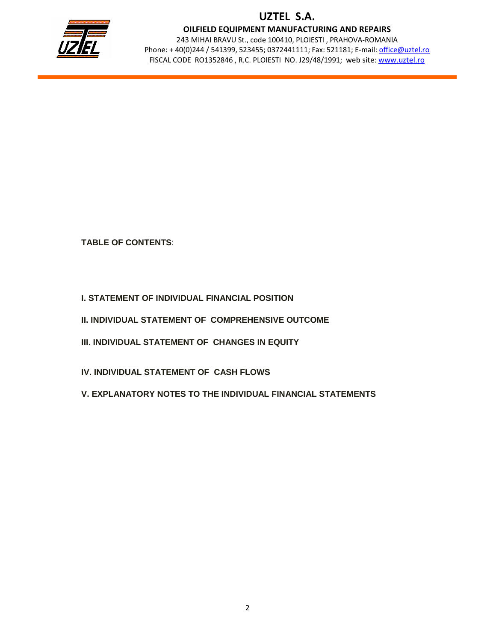

OILFIELD EQUIPMENT MANUFACTURING AND REPAIRS

243 MIHAI BRAVU St., code 100410, PLOIESTI , PRAHOVA-ROMANIA Phone: + 40(0)244 / 541399, 523455; 0372441111; Fax: 521181; E-mail: office@uztel.ro FISCAL CODE RO1352846 , R.C. PLOIESTI NO. J29/48/1991; web site: www.uztel.ro

j

### **TABLE OF CONTENTS**:

- **I. STATEMENT OF INDIVIDUAL FINANCIAL POSITION**
- **II. INDIVIDUAL STATEMENT OF COMPREHENSIVE OUTCOME**
- **III. INDIVIDUAL STATEMENT OF CHANGES IN EQUITY**
- **IV. INDIVIDUAL STATEMENT OF CASH FLOWS**
- **V. EXPLANATORY NOTES TO THE INDIVIDUAL FINANCIAL STATEMENTS**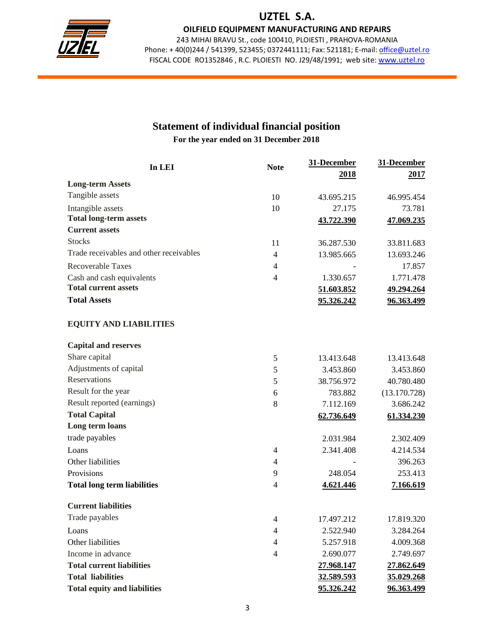

OILFIELD EQUIPMENT MANUFACTURING AND REPAIRS

243 MIHAI BRAVU St., code 100410, PLOIESTI , PRAHOVA-ROMANIA Phone: +40(0)244 / 541399, 523455; 0372441111; Fax: 521181; E-mail: office@uztel.ro FISCAL CODE RO1352846 , R.C. PLOIESTI NO. J29/48/1991; web site: www.uztel.ro

j

### **Statement of individual financial position For the year ended on 31 December 2018**

| In LEI                                  | <b>Note</b>    | 31-December | 31-December       |
|-----------------------------------------|----------------|-------------|-------------------|
|                                         |                | 2018        | 2017              |
| <b>Long-term Assets</b>                 |                |             |                   |
| Tangible assets                         | 10             | 43.695.215  | 46.995.454        |
| Intangible assets                       | 10             | 27.175      | 73.781            |
| <b>Total long-term assets</b>           |                | 43.722.390  | 47.069.235        |
| <b>Current assets</b>                   |                |             |                   |
| <b>Stocks</b>                           | 11             | 36.287.530  | 33.811.683        |
| Trade receivables and other receivables | $\overline{4}$ | 13.985.665  | 13.693.246        |
| <b>Recoverable Taxes</b>                | $\overline{4}$ |             | 17.857            |
| Cash and cash equivalents               | 4              | 1.330.657   | 1.771.478         |
| <b>Total current assets</b>             |                | 51.603.852  | 49.294.264        |
| <b>Total Assets</b>                     |                | 95.326.242  | 96.363.499        |
| <b>EQUITY AND LIABILITIES</b>           |                |             |                   |
| <b>Capital and reserves</b>             |                |             |                   |
| Share capital                           | 5              | 13.413.648  | 13.413.648        |
| Adjustments of capital                  | 5              | 3.453.860   | 3.453.860         |
| Reservations                            | 5              | 38.756.972  | 40.780.480        |
| Result for the year                     | 6              | 783.882     | (13.170.728)      |
| Result reported (earnings)              | 8              | 7.112.169   | 3.686.242         |
| <b>Total Capital</b>                    |                | 62.736.649  | 61.334.230        |
| Long term loans                         |                |             |                   |
| trade payables                          |                | 2.031.984   | 2.302.409         |
| Loans                                   | $\overline{4}$ | 2.341.408   | 4.214.534         |
| Other liabilities                       | $\overline{4}$ |             | 396.263           |
| Provisions                              | 9              | 248.054     | 253.413           |
| <b>Total long term liabilities</b>      | $\overline{4}$ | 4.621.446   | 7.166.619         |
| <b>Current liabilities</b>              |                |             |                   |
| Trade payables                          | $\overline{4}$ | 17.497.212  | 17.819.320        |
| Loans                                   | $\overline{4}$ | 2.522.940   | 3.284.264         |
| Other liabilities                       | $\overline{4}$ | 5.257.918   | 4.009.368         |
| Income in advance                       | $\overline{4}$ | 2.690.077   | 2.749.697         |
| <b>Total current liabilities</b>        |                | 27.968.147  | 27.862.649        |
| <b>Total liabilities</b>                |                | 32.589.593  | 35.029.268        |
| <b>Total equity and liabilities</b>     |                | 95.326.242  | <u>96.363.499</u> |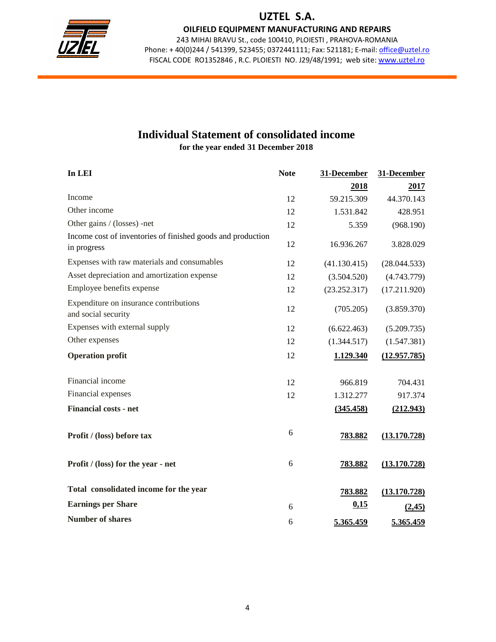

OILFIELD EQUIPMENT MANUFACTURING AND REPAIRS

243 MIHAI BRAVU St., code 100410, PLOIESTI , PRAHOVA-ROMANIA Phone: +40(0)244 / 541399, 523455; 0372441111; Fax: 521181; E-mail: office@uztel.ro FISCAL CODE RO1352846 , R.C. PLOIESTI NO. J29/48/1991; web site: www.uztel.ro

j

# **Individual Statement of consolidated income**

**for the year ended 31 December 2018** 

| In LEI                                                                     | <b>Note</b> | 31-December  | 31-December  |
|----------------------------------------------------------------------------|-------------|--------------|--------------|
|                                                                            |             | 2018         | 2017         |
| Income                                                                     | 12          | 59.215.309   | 44.370.143   |
| Other income                                                               | 12          | 1.531.842    | 428.951      |
| Other gains / (losses) -net                                                | 12          | 5.359        | (968.190)    |
| Income cost of inventories of finished goods and production<br>in progress | 12          | 16.936.267   | 3.828.029    |
| Expenses with raw materials and consumables                                | 12          | (41.130.415) | (28.044.533) |
| Asset depreciation and amortization expense                                | 12          | (3.504.520)  | (4.743.779)  |
| Employee benefits expense                                                  | 12          | (23.252.317) | (17.211.920) |
| Expenditure on insurance contributions<br>and social security              | 12          | (705.205)    | (3.859.370)  |
| Expenses with external supply                                              | 12          | (6.622.463)  | (5.209.735)  |
| Other expenses                                                             | 12          | (1.344.517)  | (1.547.381)  |
| <b>Operation profit</b>                                                    | 12          | 1.129.340    | (12.957.785) |
| Financial income                                                           | 12          | 966.819      | 704.431      |
| Financial expenses                                                         | 12          | 1.312.277    | 917.374      |
| <b>Financial costs - net</b>                                               |             | (345.458)    | (212.943)    |
| Profit / (loss) before tax                                                 | 6           | 783.882      | (13.170.728) |
| Profit / (loss) for the year - net                                         | 6           | 783.882      | (13.170.728) |
| Total consolidated income for the year                                     |             | 783.882      | (13.170.728) |
| <b>Earnings per Share</b>                                                  | 6           | 0,15         | (2,45)       |
| <b>Number of shares</b>                                                    | 6           | 5.365.459    | 5.365.459    |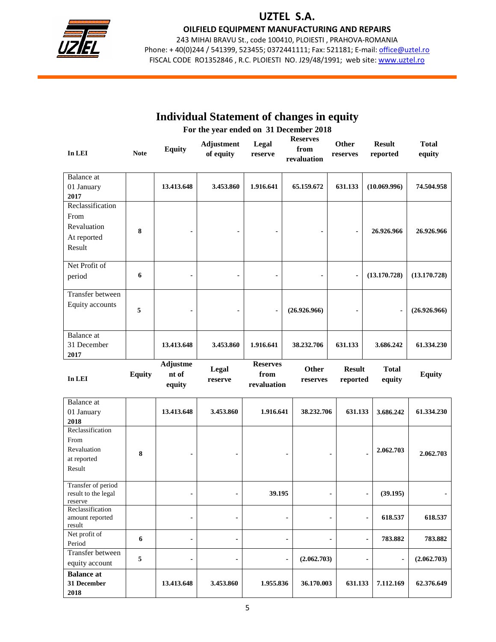

OILFIELD EQUIPMENT MANUFACTURING AND REPAIRS

243 MIHAI BRAVU St., code 100410, PLOIESTI , PRAHOVA-ROMANIA Phone: +40(0)244 / 541399, 523455; 0372441111; Fax: 521181; E-mail: office@uztel.ro FISCAL CODE RO1352846 , R.C. PLOIESTI NO. J29/48/1991; web site: www.uztel.ro

j

|                                                                  |                                        |                                    | <b>Individual Statement of changes in equity</b> |                                        |                |                                        |                           |                                         |                        |
|------------------------------------------------------------------|----------------------------------------|------------------------------------|--------------------------------------------------|----------------------------------------|----------------|----------------------------------------|---------------------------|-----------------------------------------|------------------------|
|                                                                  | For the year ended on 31 December 2018 |                                    |                                                  |                                        |                |                                        |                           |                                         |                        |
| In LEI                                                           | <b>Note</b>                            | <b>Equity</b>                      | Adjustment<br>of equity                          | Legal<br>reserve                       |                | <b>Reserves</b><br>from<br>revaluation | Other<br>reserves         | <b>Result</b><br>reported               | <b>Total</b><br>equity |
| <b>Balance</b> at<br>01 January<br>2017                          |                                        | 13.413.648                         | 3.453.860                                        | 1.916.641                              |                | 65.159.672                             | 631.133                   | (10.069.996)                            | 74.504.958             |
| Reclassification<br>From<br>Revaluation<br>At reported<br>Result | 8                                      |                                    |                                                  |                                        |                |                                        | $\overline{\phantom{a}}$  | 26.926.966                              | 26.926.966             |
| Net Profit of<br>period                                          | 6                                      |                                    | $\overline{\phantom{a}}$                         |                                        |                |                                        | $\blacksquare$            | (13.170.728)                            | (13.170.728)           |
| <b>Transfer between</b><br>Equity accounts                       | 5                                      |                                    |                                                  | $\overline{\phantom{0}}$               |                | (26.926.966)                           |                           |                                         | (26.926.966)           |
| <b>Balance</b> at<br>31 December<br>2017                         |                                        | 13.413.648                         | 3.453.860                                        | 1.916.641                              |                | 38.232.706                             | 631.133                   | 3.686.242                               | 61.334.230             |
| In LEI                                                           | <b>Equity</b>                          | <b>Adjustme</b><br>nt of<br>equity | Legal<br>reserve                                 | <b>Reserves</b><br>from<br>revaluation |                | Other<br>reserves                      | <b>Result</b><br>reported | <b>Total</b><br>equity                  | <b>Equity</b>          |
| <b>Balance</b> at<br>01 January<br>2018                          |                                        | 13.413.648                         | 3.453.860                                        | 1.916.641                              |                | 38.232.706                             | 631.133                   | 3.686.242                               | 61.334.230             |
| Reclassification<br>From<br>Revaluation<br>at reported<br>Result | 8                                      |                                    |                                                  |                                        |                |                                        | $\blacksquare$            | 2.062.703<br>٠                          | 2.062.703              |
| Transfer of period<br>result to the legal<br>reserve             |                                        | $\blacksquare$                     | $\blacksquare$                                   | 39.195                                 |                |                                        |                           | (39.195)<br>$\blacksquare$              |                        |
| Reclassification<br>amount reported<br>result                    |                                        |                                    |                                                  |                                        |                |                                        |                           | 618.537<br>$\qquad \qquad \blacksquare$ | 618.537                |
| Net profit of<br>Period                                          | 6                                      | ä,                                 | ۰                                                |                                        | $\blacksquare$ |                                        |                           | 783.882<br>$\blacksquare$               | 783.882                |
| Transfer between<br>equity account                               | 5                                      |                                    |                                                  |                                        |                | (2.062.703)                            |                           |                                         | (2.062.703)            |
| <b>Balance at</b><br>31 December<br>2018                         |                                        | 13.413.648                         | 3.453.860                                        | 1.955.836                              |                | 36.170.003                             | 631.133                   | 7.112.169                               | 62.376.649             |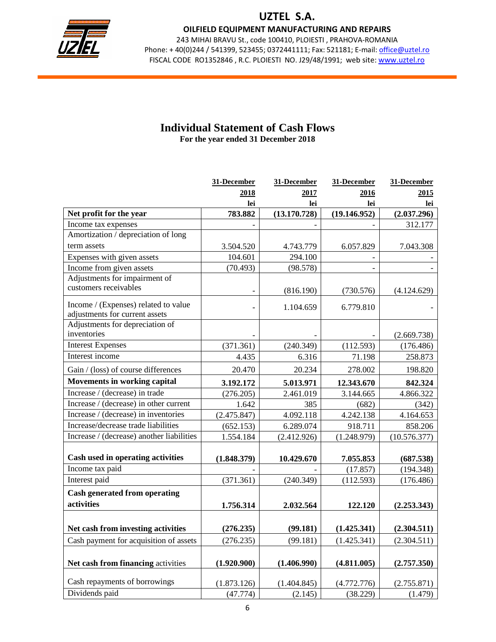

OILFIELD EQUIPMENT MANUFACTURING AND REPAIRS

243 MIHAI BRAVU St., code 100410, PLOIESTI , PRAHOVA-ROMANIA Phone: +40(0)244 / 541399, 523455; 0372441111; Fax: 521181; E-mail: office@uztel.ro FISCAL CODE RO1352846 , R.C. PLOIESTI NO. J29/48/1991; web site: www.uztel.ro

j

# **Individual Statement of Cash Flows**

**For the year ended 31 December 2018** 

|                                                                        | 31-December | 31-December  | 31-December  | 31-December  |
|------------------------------------------------------------------------|-------------|--------------|--------------|--------------|
|                                                                        | 2018        | 2017         | 2016         | 2015         |
|                                                                        | lei         | lei          | lei          | lei          |
| Net profit for the year                                                | 783.882     | (13.170.728) | (19.146.952) | (2.037.296)  |
| Income tax expenses                                                    |             |              |              | 312.177      |
| Amortization / depreciation of long                                    |             |              |              |              |
| term assets                                                            | 3.504.520   | 4.743.779    | 6.057.829    | 7.043.308    |
| Expenses with given assets                                             | 104.601     | 294.100      |              |              |
| Income from given assets                                               | (70.493)    | (98.578)     |              |              |
| Adjustments for impairment of                                          |             |              |              |              |
| customers receivables                                                  |             | (816.190)    | (730.576)    | (4.124.629)  |
| Income / (Expenses) related to value<br>adjustments for current assets |             | 1.104.659    | 6.779.810    |              |
| Adjustments for depreciation of                                        |             |              |              |              |
| inventories                                                            |             |              |              | (2.669.738)  |
| <b>Interest Expenses</b>                                               | (371.361)   | (240.349)    | (112.593)    | (176.486)    |
| Interest income                                                        | 4.435       | 6.316        | 71.198       | 258.873      |
| Gain / (loss) of course differences                                    | 20.470      | 20.234       | 278.002      | 198.820      |
| Movements in working capital                                           | 3.192.172   | 5.013.971    | 12.343.670   | 842.324      |
| Increase / (decrease) in trade                                         | (276.205)   | 2.461.019    | 3.144.665    | 4.866.322    |
| Increase / (decrease) in other current                                 | 1.642       | 385          | (682)        | (342)        |
| Increase / (decrease) in inventories                                   | (2.475.847) | 4.092.118    | 4.242.138    | 4.164.653    |
| Increase/decrease trade liabilities                                    | (652.153)   | 6.289.074    | 918.711      | 858.206      |
| Increase / (decrease) another liabilities                              | 1.554.184   | (2.412.926)  | (1.248.979)  | (10.576.377) |
| Cash used in operating activities                                      |             |              |              |              |
| Income tax paid                                                        | (1.848.379) | 10.429.670   | 7.055.853    | (687.538)    |
| Interest paid                                                          |             |              | (17.857)     | (194.348)    |
|                                                                        | (371.361)   | (240.349)    | (112.593)    | (176.486)    |
| <b>Cash generated from operating</b>                                   |             |              |              |              |
| activities                                                             | 1.756.314   | 2.032.564    | 122.120      | (2.253.343)  |
|                                                                        |             |              |              |              |
| Net cash from investing activities                                     | (276.235)   | (99.181)     | (1.425.341)  | (2.304.511)  |
| Cash payment for acquisition of assets                                 | (276.235)   | (99.181)     | (1.425.341)  | (2.304.511)  |
|                                                                        |             |              |              |              |
| Net cash from financing activities                                     | (1.920.900) | (1.406.990)  | (4.811.005)  | (2.757.350)  |
| Cash repayments of borrowings                                          | (1.873.126) | (1.404.845)  | (4.772.776)  | (2.755.871)  |
| Dividends paid                                                         | (47.774)    | (2.145)      | (38.229)     | (1.479)      |
|                                                                        |             |              |              |              |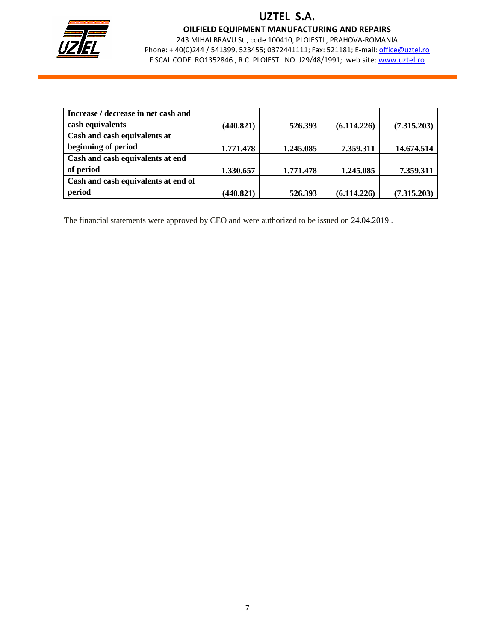

OILFIELD EQUIPMENT MANUFACTURING AND REPAIRS

243 MIHAI BRAVU St., code 100410, PLOIESTI , PRAHOVA-ROMANIA Phone: +40(0)244 / 541399, 523455; 0372441111; Fax: 521181; E-mail: office@uztel.ro FISCAL CODE RO1352846 , R.C. PLOIESTI NO. J29/48/1991; web site: www.uztel.ro

j

| Increase / decrease in net cash and |           |           |             |             |
|-------------------------------------|-----------|-----------|-------------|-------------|
| cash equivalents                    | (440.821) | 526.393   | (6.114.226) | (7.315.203) |
| Cash and cash equivalents at        |           |           |             |             |
| beginning of period                 | 1.771.478 | 1.245.085 | 7.359.311   | 14.674.514  |
| Cash and cash equivalents at end    |           |           |             |             |
| of period                           | 1.330.657 | 1.771.478 | 1.245.085   | 7.359.311   |
| Cash and cash equivalents at end of |           |           |             |             |
| period                              | (440.821) | 526.393   | (6.114.226) | (7.315.203) |

The financial statements were approved by CEO and were authorized to be issued on 24.04.2019 .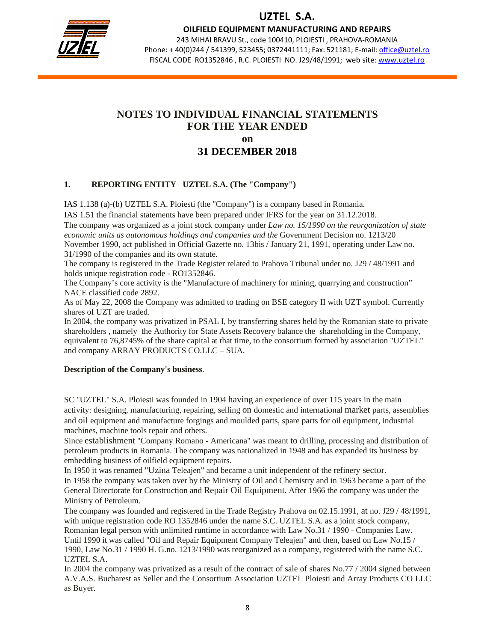

OILFIELD EQUIPMENT MANUFACTURING AND REPAIRS

243 MIHAI BRAVU St., code 100410, PLOIESTI , PRAHOVA-ROMANIA Phone: +40(0)244 / 541399, 523455; 0372441111; Fax: 521181; E-mail: office@uztel.ro FISCAL CODE RO1352846 , R.C. PLOIESTI NO. J29/48/1991; web site: www.uztel.ro

j

### **NOTES TO INDIVIDUAL FINANCIAL STATEMENTS FOR THE YEAR ENDED on 31 DECEMBER 2018**

### **1. REPORTING ENTITY UZTEL S.A. (The "Company")**

IAS 1.138 (a)-(b) UZTEL S.A. Ploiesti (the "Company") is a company based in Romania.

IAS 1.51 the financial statements have been prepared under IFRS for the year on 31.12.2018. The company was organized as a joint stock company under *Law no. 15/1990 on the reorganization of state economic units as autonomous holdings and companies and the* Government Decision no. 1213/20 November 1990, act published in Official Gazette no. 13bis / January 21, 1991, operating under Law no. 31/1990 of the companies and its own statute.

The company is registered in the Trade Register related to Prahova Tribunal under no. J29 / 48/1991 and holds unique registration code - RO1352846.

The Company's core activity is the "Manufacture of machinery for mining, quarrying and construction" NACE classified code 2892.

As of May 22, 2008 the Company was admitted to trading on BSE category II with UZT symbol. Currently shares of UZT are traded.

In 2004, the company was privatized in PSAL I, by transferring shares held by the Romanian state to private shareholders , namely the Authority for State Assets Recovery balance the shareholding in the Company, equivalent to 76,8745% of the share capital at that time, to the consortium formed by association "UZTEL" and company ARRAY PRODUCTS CO.LLC – SUA.

#### **Description of the Company's business**.

SC "UZTEL" S.A. Ploiesti was founded in 1904 having an experience of over 115 years in the main activity: designing, manufacturing, repairing, selling on domestic and international market parts, assemblies and oil equipment and manufacture forgings and moulded parts, spare parts for oil equipment, industrial machines, machine tools repair and others.

Since establishment "Company Romano - Americana" was meant to drilling, processing and distribution of petroleum products in Romania. The company was nationalized in 1948 and has expanded its business by embedding business of oilfield equipment repairs.

In 1950 it was renamed "Uzina Teleajen" and became a unit independent of the refinery sector.

In 1958 the company was taken over by the Ministry of Oil and Chemistry and in 1963 became a part of the General Directorate for Construction and Repair Oil Equipment. After 1966 the company was under the Ministry of Petroleum.

The company was founded and registered in the Trade Registry Prahova on 02.15.1991, at no. J29 / 48/1991, with unique registration code RO 1352846 under the name S.C. UZTEL S.A. as a joint stock company, Romanian legal person with unlimited runtime in accordance with Law No.31 / 1990 - Companies Law. Until 1990 it was called "Oil and Repair Equipment Company Teleajen" and then, based on Law No.15 / 1990, Law No.31 / 1990 H. G.no. 1213/1990 was reorganized as a company, registered with the name S.C. UZTEL S.A.

In 2004 the company was privatized as a result of the contract of sale of shares No.77 / 2004 signed between A.V.A.S. Bucharest as Seller and the Consortium Association UZTEL Ploiesti and Array Products CO LLC as Buyer.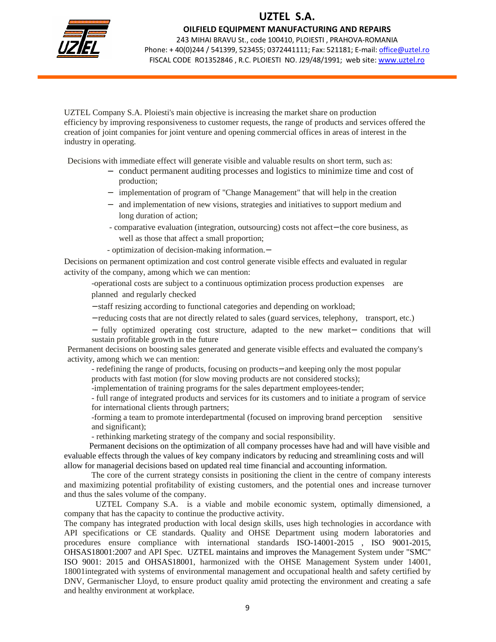

OILFIELD EQUIPMENT MANUFACTURING AND REPAIRS

243 MIHAI BRAVU St., code 100410, PLOIESTI , PRAHOVA-ROMANIA Phone: +40(0)244 / 541399, 523455; 0372441111; Fax: 521181; E-mail: office@uztel.ro FISCAL CODE RO1352846 , R.C. PLOIESTI NO. J29/48/1991; web site: www.uztel.ro

j

UZTEL Company S.A. Ploiesti's main objective is increasing the market share on production efficiency by improving responsiveness to customer requests, the range of products and services offered the creation of joint companies for joint venture and opening commercial offices in areas of interest in the industry in operating.

Decisions with immediate effect will generate visible and valuable results on short term, such as:

- − conduct permanent auditing processes and logistics to minimize time and cost of production;
- − implementation of program of "Change Management" that will help in the creation
- − and implementation of new visions, strategies and initiatives to support medium and long duration of action;
- comparative evaluation (integration, outsourcing) costs not affect− the core business, as well as those that affect a small proportion;
- optimization of decision-making information.−

Decisions on permanent optimization and cost control generate visible effects and evaluated in regular activity of the company, among which we can mention:

 -operational costs are subject to a continuous optimization process production expenses are planned and regularly checked

− staff resizing according to functional categories and depending on workload;

− reducing costs that are not directly related to sales (guard services, telephony, transport, etc.)

− fully optimized operating cost structure, adapted to the new market− conditions that will sustain profitable growth in the future

Permanent decisions on boosting sales generated and generate visible effects and evaluated the company's activity, among which we can mention:

 - redefining the range of products, focusing on products− and keeping only the most popular products with fast motion (for slow moving products are not considered stocks);

-implementation of training programs for the sales department employees-tender;

 - full range of integrated products and services for its customers and to initiate a program of service for international clients through partners;

 -forming a team to promote interdepartmental (focused on improving brand perception sensitive and significant);

- rethinking marketing strategy of the company and social responsibility.

 Permanent decisions on the optimization of all company processes have had and will have visible and evaluable effects through the values of key company indicators by reducing and streamlining costs and will allow for managerial decisions based on updated real time financial and accounting information.

 The core of the current strategy consists in positioning the client in the centre of company interests and maximizing potential profitability of existing customers, and the potential ones and increase turnover and thus the sales volume of the company.

 UZTEL Company S.A. is a viable and mobile economic system, optimally dimensioned, a company that has the capacity to continue the productive activity.

The company has integrated production with local design skills, uses high technologies in accordance with API specifications or CE standards. Quality and OHSE Department using modern laboratories and procedures ensure compliance with international standards ISO-14001-2015 , ISO 9001-2015, OHSAS18001:2007 and API Spec. UZTEL maintains and improves the Management System under "SMC" ISO 9001: 2015 and OHSAS18001, harmonized with the OHSE Management System under 14001, 18001integrated with systems of environmental management and occupational health and safety certified by DNV, Germanischer Lloyd, to ensure product quality amid protecting the environment and creating a safe and healthy environment at workplace.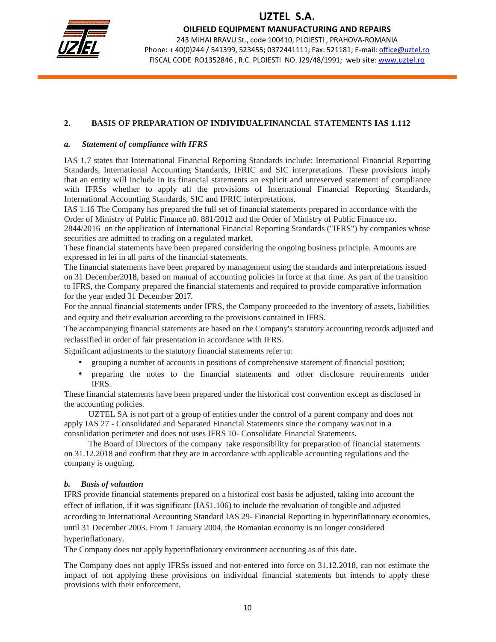

OILFIELD EQUIPMENT MANUFACTURING AND REPAIRS

243 MIHAI BRAVU St., code 100410, PLOIESTI , PRAHOVA-ROMANIA Phone: +40(0)244 / 541399, 523455; 0372441111; Fax: 521181; E-mail: office@uztel.ro FISCAL CODE RO1352846 , R.C. PLOIESTI NO. J29/48/1991; web site: www.uztel.ro

j

### **2. BASIS OF PREPARATION OF INDIVIDUALFINANCIAL STATEMENTS IAS 1.112**

#### *a. Statement of compliance with IFRS*

IAS 1.7 states that International Financial Reporting Standards include: International Financial Reporting Standards, International Accounting Standards, IFRIC and SIC interpretations. These provisions imply that an entity will include in its financial statements an explicit and unreserved statement of compliance with IFRSs whether to apply all the provisions of International Financial Reporting Standards, International Accounting Standards, SIC and IFRIC interpretations.

IAS 1.16 The Company has prepared the full set of financial statements prepared in accordance with the Order of Ministry of Public Finance n0. 881/2012 and the Order of Ministry of Public Finance no.

2844/2016 on the application of International Financial Reporting Standards ("IFRS") by companies whose securities are admitted to trading on a regulated market.

These financial statements have been prepared considering the ongoing business principle. Amounts are expressed in lei in all parts of the financial statements.

The financial statements have been prepared by management using the standards and interpretations issued on 31 December2018, based on manual of accounting policies in force at that time. As part of the transition to IFRS, the Company prepared the financial statements and required to provide comparative information for the year ended 31 December 2017.

For the annual financial statements under IFRS, the Company proceeded to the inventory of assets, liabilities and equity and their evaluation according to the provisions contained in IFRS.

The accompanying financial statements are based on the Company's statutory accounting records adjusted and reclassified in order of fair presentation in accordance with IFRS.

Significant adjustments to the statutory financial statements refer to:

- grouping a number of accounts in positions of comprehensive statement of financial position;
- preparing the notes to the financial statements and other disclosure requirements under IFRS.

These financial statements have been prepared under the historical cost convention except as disclosed in the accounting policies.

 UZTEL SA is not part of a group of entities under the control of a parent company and does not apply IAS 27 - Consolidated and Separated Financial Statements since the company was not in a consolidation perimeter and does not uses IFRS 10- Consolidate Financial Statements.

 The Board of Directors of the company take responsibility for preparation of financial statements on 31.12.2018 and confirm that they are in accordance with applicable accounting regulations and the company is ongoing.

#### *b. Basis of valuation*

IFRS provide financial statements prepared on a historical cost basis be adjusted, taking into account the effect of inflation, if it was significant (IAS1.106) to include the revaluation of tangible and adjusted according to International Accounting Standard IAS 29- Financial Reporting in hyperinflationary economies, until 31 December 2003. From 1 January 2004, the Romanian economy is no longer considered hyperinflationary.

The Company does not apply hyperinflationary environment accounting as of this date.

The Company does not apply IFRSs issued and not-entered into force on 31.12.2018, can not estimate the impact of not applying these provisions on individual financial statements but intends to apply these provisions with their enforcement.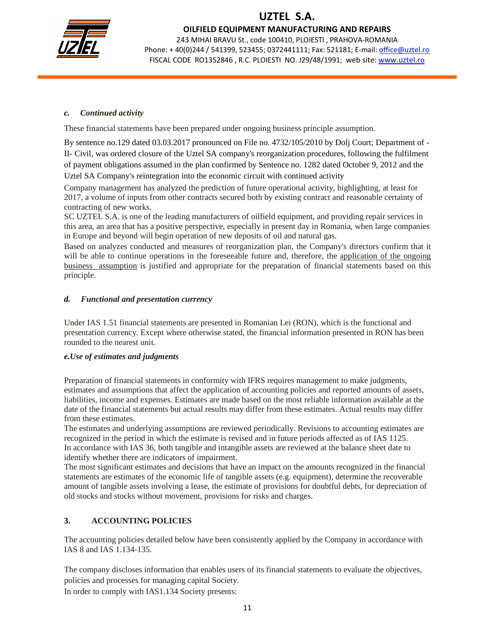

OILFIELD EQUIPMENT MANUFACTURING AND REPAIRS

243 MIHAI BRAVU St., code 100410, PLOIESTI , PRAHOVA-ROMANIA Phone: + 40(0)244 / 541399, 523455; 0372441111; Fax: 521181; E-mail: office@uztel.ro FISCAL CODE RO1352846 , R.C. PLOIESTI NO. J29/48/1991; web site: www.uztel.ro

j

### *c. Continued activity*

These financial statements have been prepared under ongoing business principle assumption.

By sentence no.129 dated 03.03.2017 pronounced on File no. 4732/105/2010 by Dolj Court; Department of - II- Civil, was ordered closure of the Uztel SA company's reorganization procedures, following the fulfilment of payment obligations assumed in the plan confirmed by Sentence no. 1282 dated October 9, 2012 and the Uztel SA Company's reintegration into the economic circuit with continued activity

Company management has analyzed the prediction of future operational activity, highlighting, at least for 2017, a volume of inputs from other contracts secured both by existing contract and reasonable certainty of contracting of new works.

SC UZTEL S.A. is one of the leading manufacturers of oilfield equipment, and providing repair services in this area, an area that has a positive perspective, especially in present day in Romania, when large companies in Europe and beyond will begin operation of new deposits of oil and natural gas.

Based on analyzes conducted and measures of reorganization plan, the Company's directors confirm that it will be able to continue operations in the foreseeable future and, therefore, the application of the ongoing business assumption is justified and appropriate for the preparation of financial statements based on this principle.

### *d. Functional and presentation currency*

Under IAS 1.51 financial statements are presented in Romanian Lei (RON), which is the functional and presentation currency. Except where otherwise stated, the financial information presented in RON has been rounded to the nearest unit.

### *e.Use of estimates and judgments*

Preparation of financial statements in conformity with IFRS requires management to make judgments, estimates and assumptions that affect the application of accounting policies and reported amounts of assets, liabilities, income and expenses. Estimates are made based on the most reliable information available at the date of the financial statements but actual results may differ from these estimates. Actual results may differ from these estimates.

The estimates and underlying assumptions are reviewed periodically. Revisions to accounting estimates are recognized in the period in which the estimate is revised and in future periods affected as of IAS 1125. In accordance with IAS 36, both tangible and intangible assets are reviewed at the balance sheet date to identify whether there are indicators of impairment.

The most significant estimates and decisions that have an impact on the amounts recognized in the financial statements are estimates of the economic life of tangible assets (e.g. equipment), determine the recoverable amount of tangible assets involving a lease, the estimate of provisions for doubtful debts, for depreciation of old stocks and stocks without movement, provisions for risks and charges.

### **3. ACCOUNTING POLICIES**

The accounting policies detailed below have been consistently applied by the Company in accordance with IAS 8 and IAS 1.134-135.

The company discloses information that enables users of its financial statements to evaluate the objectives, policies and processes for managing capital Society.

In order to comply with IAS1.134 Society presents: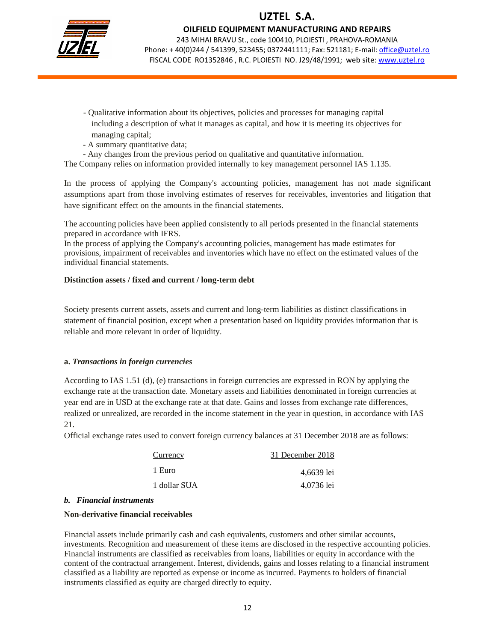

OILFIELD EQUIPMENT MANUFACTURING AND REPAIRS

243 MIHAI BRAVU St., code 100410, PLOIESTI , PRAHOVA-ROMANIA Phone: +40(0)244 / 541399, 523455; 0372441111; Fax: 521181; E-mail: office@uztel.ro FISCAL CODE RO1352846 , R.C. PLOIESTI NO. J29/48/1991; web site: www.uztel.ro

j

- Qualitative information about its objectives, policies and processes for managing capital including a description of what it manages as capital, and how it is meeting its objectives for managing capital;
- A summary quantitative data;
- Any changes from the previous period on qualitative and quantitative information.

The Company relies on information provided internally to key management personnel IAS 1.135.

In the process of applying the Company's accounting policies, management has not made significant assumptions apart from those involving estimates of reserves for receivables, inventories and litigation that have significant effect on the amounts in the financial statements.

The accounting policies have been applied consistently to all periods presented in the financial statements prepared in accordance with IFRS.

In the process of applying the Company's accounting policies, management has made estimates for provisions, impairment of receivables and inventories which have no effect on the estimated values of the individual financial statements.

#### **Distinction assets / fixed and current / long-term debt**

Society presents current assets, assets and current and long-term liabilities as distinct classifications in statement of financial position, except when a presentation based on liquidity provides information that is reliable and more relevant in order of liquidity.

#### **a.** *Transactions in foreign currencies*

According to IAS 1.51 (d), (e) transactions in foreign currencies are expressed in RON by applying the exchange rate at the transaction date. Monetary assets and liabilities denominated in foreign currencies at year end are in USD at the exchange rate at that date. Gains and losses from exchange rate differences, realized or unrealized, are recorded in the income statement in the year in question, in accordance with IAS 21.

Official exchange rates used to convert foreign currency balances at 31 December 2018 are as follows:

| Currency     | 31 December 2018 |
|--------------|------------------|
| 1 Euro       | 4,6639 lei       |
| 1 dollar SUA | 4,0736 lei       |

#### *b. Financial instruments*

#### **Non-derivative financial receivables**

Financial assets include primarily cash and cash equivalents, customers and other similar accounts, investments. Recognition and measurement of these items are disclosed in the respective accounting policies. Financial instruments are classified as receivables from loans, liabilities or equity in accordance with the content of the contractual arrangement. Interest, dividends, gains and losses relating to a financial instrument classified as a liability are reported as expense or income as incurred. Payments to holders of financial instruments classified as equity are charged directly to equity.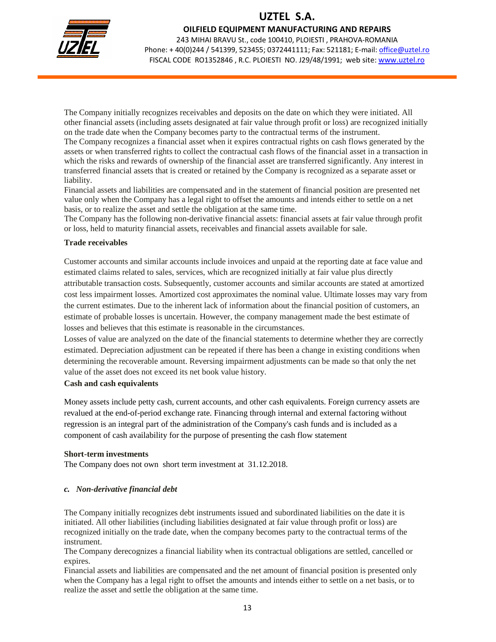

OILFIELD EQUIPMENT MANUFACTURING AND REPAIRS

243 MIHAI BRAVU St., code 100410, PLOIESTI , PRAHOVA-ROMANIA Phone: +40(0)244 / 541399, 523455; 0372441111; Fax: 521181; E-mail: office@uztel.ro FISCAL CODE RO1352846 , R.C. PLOIESTI NO. J29/48/1991; web site: www.uztel.ro

j

The Company initially recognizes receivables and deposits on the date on which they were initiated. All other financial assets (including assets designated at fair value through profit or loss) are recognized initially on the trade date when the Company becomes party to the contractual terms of the instrument. The Company recognizes a financial asset when it expires contractual rights on cash flows generated by the assets or when transferred rights to collect the contractual cash flows of the financial asset in a transaction in which the risks and rewards of ownership of the financial asset are transferred significantly. Any interest in transferred financial assets that is created or retained by the Company is recognized as a separate asset or liability.

Financial assets and liabilities are compensated and in the statement of financial position are presented net value only when the Company has a legal right to offset the amounts and intends either to settle on a net basis, or to realize the asset and settle the obligation at the same time.

The Company has the following non-derivative financial assets: financial assets at fair value through profit or loss, held to maturity financial assets, receivables and financial assets available for sale.

#### **Trade receivables**

Customer accounts and similar accounts include invoices and unpaid at the reporting date at face value and estimated claims related to sales, services, which are recognized initially at fair value plus directly attributable transaction costs. Subsequently, customer accounts and similar accounts are stated at amortized cost less impairment losses. Amortized cost approximates the nominal value. Ultimate losses may vary from the current estimates. Due to the inherent lack of information about the financial position of customers, an estimate of probable losses is uncertain. However, the company management made the best estimate of losses and believes that this estimate is reasonable in the circumstances.

Losses of value are analyzed on the date of the financial statements to determine whether they are correctly estimated. Depreciation adjustment can be repeated if there has been a change in existing conditions when determining the recoverable amount. Reversing impairment adjustments can be made so that only the net value of the asset does not exceed its net book value history.

#### **Cash and cash equivalents**

Money assets include petty cash, current accounts, and other cash equivalents. Foreign currency assets are revalued at the end-of-period exchange rate. Financing through internal and external factoring without regression is an integral part of the administration of the Company's cash funds and is included as a component of cash availability for the purpose of presenting the cash flow statement

### **Short-term investments**

The Company does not own short term investment at 31.12.2018.

### *c. Non-derivative financial debt*

The Company initially recognizes debt instruments issued and subordinated liabilities on the date it is initiated. All other liabilities (including liabilities designated at fair value through profit or loss) are recognized initially on the trade date, when the company becomes party to the contractual terms of the instrument.

The Company derecognizes a financial liability when its contractual obligations are settled, cancelled or expires.

Financial assets and liabilities are compensated and the net amount of financial position is presented only when the Company has a legal right to offset the amounts and intends either to settle on a net basis, or to realize the asset and settle the obligation at the same time.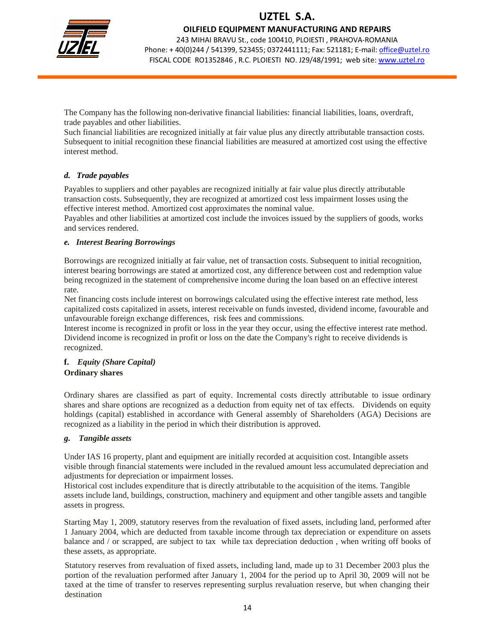

OILFIELD EQUIPMENT MANUFACTURING AND REPAIRS

243 MIHAI BRAVU St., code 100410, PLOIESTI , PRAHOVA-ROMANIA Phone: + 40(0)244 / 541399, 523455; 0372441111; Fax: 521181; E-mail: office@uztel.ro FISCAL CODE RO1352846 , R.C. PLOIESTI NO. J29/48/1991; web site: www.uztel.ro

j

The Company has the following non-derivative financial liabilities: financial liabilities, loans, overdraft, trade payables and other liabilities.

Such financial liabilities are recognized initially at fair value plus any directly attributable transaction costs. Subsequent to initial recognition these financial liabilities are measured at amortized cost using the effective interest method.

### *d. Trade payables*

Payables to suppliers and other payables are recognized initially at fair value plus directly attributable transaction costs. Subsequently, they are recognized at amortized cost less impairment losses using the effective interest method. Amortized cost approximates the nominal value.

Payables and other liabilities at amortized cost include the invoices issued by the suppliers of goods, works and services rendered.

### *e. Interest Bearing Borrowings*

Borrowings are recognized initially at fair value, net of transaction costs. Subsequent to initial recognition, interest bearing borrowings are stated at amortized cost, any difference between cost and redemption value being recognized in the statement of comprehensive income during the loan based on an effective interest rate.

Net financing costs include interest on borrowings calculated using the effective interest rate method, less capitalized costs capitalized in assets, interest receivable on funds invested, dividend income, favourable and unfavourable foreign exchange differences, risk fees and commissions.

Interest income is recognized in profit or loss in the year they occur, using the effective interest rate method. Dividend income is recognized in profit or loss on the date the Company's right to receive dividends is recognized.

#### **f.** *Equity (Share Capital)*  **Ordinary shares**

Ordinary shares are classified as part of equity. Incremental costs directly attributable to issue ordinary shares and share options are recognized as a deduction from equity net of tax effects. Dividends on equity holdings (capital) established in accordance with General assembly of Shareholders (AGA) Decisions are recognized as a liability in the period in which their distribution is approved.

### *g. Tangible assets*

Under IAS 16 property, plant and equipment are initially recorded at acquisition cost. Intangible assets visible through financial statements were included in the revalued amount less accumulated depreciation and adjustments for depreciation or impairment losses.

Historical cost includes expenditure that is directly attributable to the acquisition of the items. Tangible assets include land, buildings, construction, machinery and equipment and other tangible assets and tangible assets in progress.

Starting May 1, 2009, statutory reserves from the revaluation of fixed assets, including land, performed after 1 January 2004, which are deducted from taxable income through tax depreciation or expenditure on assets balance and / or scrapped, are subject to tax while tax depreciation deduction , when writing off books of these assets, as appropriate.

Statutory reserves from revaluation of fixed assets, including land, made up to 31 December 2003 plus the portion of the revaluation performed after January 1, 2004 for the period up to April 30, 2009 will not be taxed at the time of transfer to reserves representing surplus revaluation reserve, but when changing their destination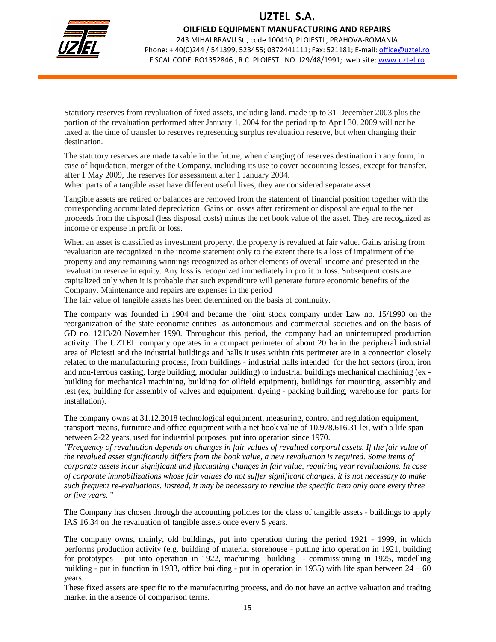

OILFIELD EQUIPMENT MANUFACTURING AND REPAIRS

243 MIHAI BRAVU St., code 100410, PLOIESTI , PRAHOVA-ROMANIA Phone: + 40(0)244 / 541399, 523455; 0372441111; Fax: 521181; E-mail: office@uztel.ro FISCAL CODE RO1352846 , R.C. PLOIESTI NO. J29/48/1991; web site: www.uztel.ro

j

Statutory reserves from revaluation of fixed assets, including land, made up to 31 December 2003 plus the portion of the revaluation performed after January 1, 2004 for the period up to April 30, 2009 will not be taxed at the time of transfer to reserves representing surplus revaluation reserve, but when changing their destination.

The statutory reserves are made taxable in the future, when changing of reserves destination in any form, in case of liquidation, merger of the Company, including its use to cover accounting losses, except for transfer, after 1 May 2009, the reserves for assessment after 1 January 2004.

When parts of a tangible asset have different useful lives, they are considered separate asset.

Tangible assets are retired or balances are removed from the statement of financial position together with the corresponding accumulated depreciation. Gains or losses after retirement or disposal are equal to the net proceeds from the disposal (less disposal costs) minus the net book value of the asset. They are recognized as income or expense in profit or loss.

When an asset is classified as investment property, the property is revalued at fair value. Gains arising from revaluation are recognized in the income statement only to the extent there is a loss of impairment of the property and any remaining winnings recognized as other elements of overall income and presented in the revaluation reserve in equity. Any loss is recognized immediately in profit or loss. Subsequent costs are capitalized only when it is probable that such expenditure will generate future economic benefits of the Company. Maintenance and repairs are expenses in the period

The fair value of tangible assets has been determined on the basis of continuity.

The company was founded in 1904 and became the joint stock company under Law no. 15/1990 on the reorganization of the state economic entities as autonomous and commercial societies and on the basis of GD no. 1213/20 November 1990. Throughout this period, the company had an uninterrupted production activity. The UZTEL company operates in a compact perimeter of about 20 ha in the peripheral industrial area of Ploiesti and the industrial buildings and halls it uses within this perimeter are in a connection closely related to the manufacturing process, from buildings - industrial halls intended for the hot sectors (iron, iron and non-ferrous casting, forge building, modular building) to industrial buildings mechanical machining (ex building for mechanical machining, building for oilfield equipment), buildings for mounting, assembly and test (ex, building for assembly of valves and equipment, dyeing - packing building, warehouse for parts for installation).

The company owns at 31.12.2018 technological equipment, measuring, control and regulation equipment, transport means, furniture and office equipment with a net book value of 10,978,616.31 lei, with a life span between 2-22 years, used for industrial purposes, put into operation since 1970.

*"Frequency of revaluation depends on changes in fair values of revalued corporal assets. If the fair value of the revalued asset significantly differs from the book value, a new revaluation is required. Some items of corporate assets incur significant and fluctuating changes in fair value, requiring year revaluations. In case of corporate immobilizations whose fair values do not suffer significant changes, it is not necessary to make such frequent re-evaluations. Instead, it may be necessary to revalue the specific item only once every three or five years.* "

The Company has chosen through the accounting policies for the class of tangible assets - buildings to apply IAS 16.34 on the revaluation of tangible assets once every 5 years.

The company owns, mainly, old buildings, put into operation during the period 1921 - 1999, in which performs production activity (e.g. building of material storehouse - putting into operation in 1921, building for prototypes – put into operation in 1922, machining building - commissioning in 1925, modelling building - put in function in 1933, office building - put in operation in 1935) with life span between  $24 - 60$ years.

These fixed assets are specific to the manufacturing process, and do not have an active valuation and trading market in the absence of comparison terms.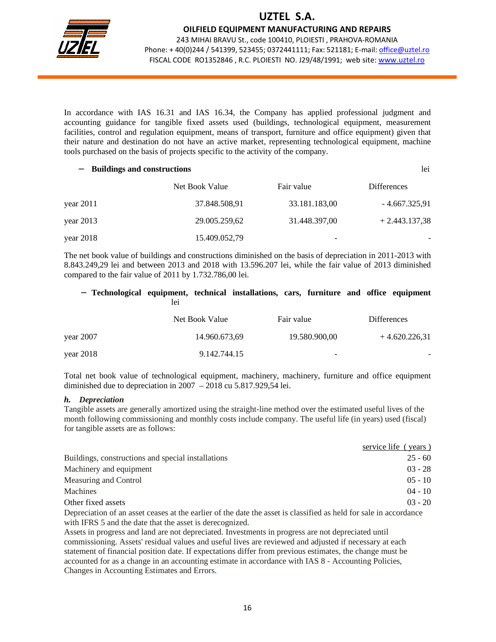

OILFIELD EQUIPMENT MANUFACTURING AND REPAIRS

243 MIHAI BRAVU St., code 100410, PLOIESTI , PRAHOVA-ROMANIA Phone: + 40(0)244 / 541399, 523455; 0372441111; Fax: 521181; E-mail: office@uztel.ro FISCAL CODE RO1352846 , R.C. PLOIESTI NO. J29/48/1991; web site: www.uztel.ro

j

In accordance with IAS 16.31 and IAS 16.34, the Company has applied professional judgment and accounting guidance for tangible fixed assets used (buildings, technological equipment, measurement facilities, control and regulation equipment, means of transport, furniture and office equipment) given that their nature and destination do not have an active market, representing technological equipment, machine tools purchased on the basis of projects specific to the activity of the company.

| lei<br><b>Buildings and constructions</b> |                |               |                    |  |  |  |
|-------------------------------------------|----------------|---------------|--------------------|--|--|--|
|                                           | Net Book Value | Fair value    | <b>Differences</b> |  |  |  |
| year $2011$                               | 37.848.508,91  | 33.181.183,00 | $-4.667.325,91$    |  |  |  |
| year $2013$                               | 29.005.259,62  | 31.448.397,00 | $+2.443.137,38$    |  |  |  |
| year $2018$                               | 15.409.052,79  |               |                    |  |  |  |

The net book value of buildings and constructions diminished on the basis of depreciation in 2011-2013 with 8.843.249,29 lei and between 2013 and 2018 with 13.596.207 lei, while the fair value of 2013 diminished compared to the fair value of 2011 by 1.732.786,00 lei.

#### − **Technological equipment, technical installations, cars, furniture and office equipment**  lei van die koning van die koning van die koning van die koning van die koning van die koning van die koning v

|             | Net Book Value | Fair value               | <b>Differences</b> |
|-------------|----------------|--------------------------|--------------------|
| year $2007$ | 14.960.673,69  | 19.580.900,00            | $+4.620.226.31$    |
| year $2018$ | 9.142.744.15   | $\overline{\phantom{0}}$ | -                  |

Total net book value of technological equipment, machinery, machinery, furniture and office equipment diminished due to depreciation in 2007 – 2018 cu 5.817.929,54 lei.

#### *h. Depreciation*

Tangible assets are generally amortized using the straight-line method over the estimated useful lives of the month following commissioning and monthly costs include company. The useful life (in years) used (fiscal) for tangible assets are as follows:

|                                                                                                                | service life (years) |
|----------------------------------------------------------------------------------------------------------------|----------------------|
| Buildings, constructions and special installations                                                             | $25 - 60$            |
| Machinery and equipment                                                                                        | $03 - 28$            |
| Measuring and Control                                                                                          | $0.5 - 10$           |
| Machines                                                                                                       | $04 - 10$            |
| Other fixed assets                                                                                             | $03 - 20$            |
| Democratica of an exect crosse of the couling of the data the coast is closed and all democratic in coordinate |                      |

Depreciation of an asset ceases at the earlier of the date the asset is classified as held for sale in accordance with IFRS 5 and the date that the asset is derecognized.

Assets in progress and land are not depreciated. Investments in progress are not depreciated until commissioning. Assets' residual values and useful lives are reviewed and adjusted if necessary at each statement of financial position date. If expectations differ from previous estimates, the change must be accounted for as a change in an accounting estimate in accordance with IAS 8 - Accounting Policies, Changes in Accounting Estimates and Errors.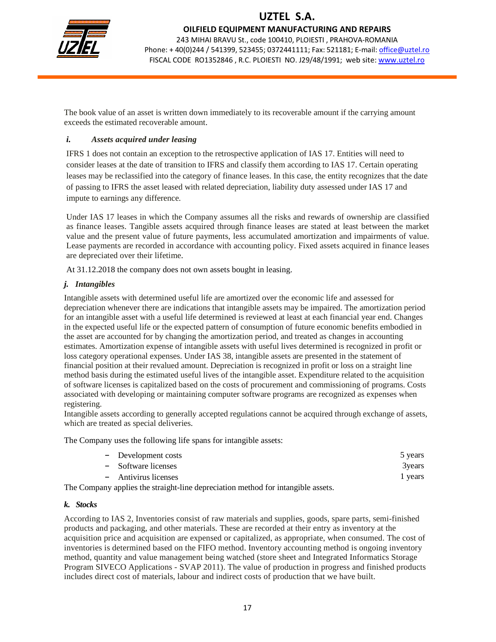

OILFIELD EQUIPMENT MANUFACTURING AND REPAIRS

243 MIHAI BRAVU St., code 100410, PLOIESTI , PRAHOVA-ROMANIA Phone: + 40(0)244 / 541399, 523455; 0372441111; Fax: 521181; E-mail: office@uztel.ro FISCAL CODE RO1352846 , R.C. PLOIESTI NO. J29/48/1991; web site: www.uztel.ro

j

The book value of an asset is written down immediately to its recoverable amount if the carrying amount exceeds the estimated recoverable amount.

### *i. Assets acquired under leasing*

IFRS 1 does not contain an exception to the retrospective application of IAS 17. Entities will need to consider leases at the date of transition to IFRS and classify them according to IAS 17. Certain operating leases may be reclassified into the category of finance leases. In this case, the entity recognizes that the date of passing to IFRS the asset leased with related depreciation, liability duty assessed under IAS 17 and impute to earnings any difference.

Under IAS 17 leases in which the Company assumes all the risks and rewards of ownership are classified as finance leases. Tangible assets acquired through finance leases are stated at least between the market value and the present value of future payments, less accumulated amortization and impairments of value. Lease payments are recorded in accordance with accounting policy. Fixed assets acquired in finance leases are depreciated over their lifetime.

At 31.12.2018 the company does not own assets bought in leasing.

### *j. Intangibles*

Intangible assets with determined useful life are amortized over the economic life and assessed for depreciation whenever there are indications that intangible assets may be impaired. The amortization period for an intangible asset with a useful life determined is reviewed at least at each financial year end. Changes in the expected useful life or the expected pattern of consumption of future economic benefits embodied in the asset are accounted for by changing the amortization period, and treated as changes in accounting estimates. Amortization expense of intangible assets with useful lives determined is recognized in profit or loss category operational expenses. Under IAS 38, intangible assets are presented in the statement of financial position at their revalued amount. Depreciation is recognized in profit or loss on a straight line method basis during the estimated useful lives of the intangible asset. Expenditure related to the acquisition of software licenses is capitalized based on the costs of procurement and commissioning of programs. Costs associated with developing or maintaining computer software programs are recognized as expenses when registering.

Intangible assets according to generally accepted regulations cannot be acquired through exchange of assets, which are treated as special deliveries.

The Company uses the following life spans for intangible assets:

| - Development costs                                                       | 5 years |
|---------------------------------------------------------------------------|---------|
| - Software licenses                                                       | 3 years |
| - Antivirus licenses                                                      | 1 years |
| uri amulias dhe studisht lina dannaciation matha difanimtanalilala socato |         |

The Company applies the straight-line depreciation method for intangible assets.

#### *k. Stocks*

According to IAS 2, Inventories consist of raw materials and supplies, goods, spare parts, semi-finished products and packaging, and other materials. These are recorded at their entry as inventory at the acquisition price and acquisition are expensed or capitalized, as appropriate, when consumed. The cost of inventories is determined based on the FIFO method. Inventory accounting method is ongoing inventory method, quantity and value management being watched (store sheet and Integrated Informatics Storage Program SIVECO Applications - SVAP 2011). The value of production in progress and finished products includes direct cost of materials, labour and indirect costs of production that we have built.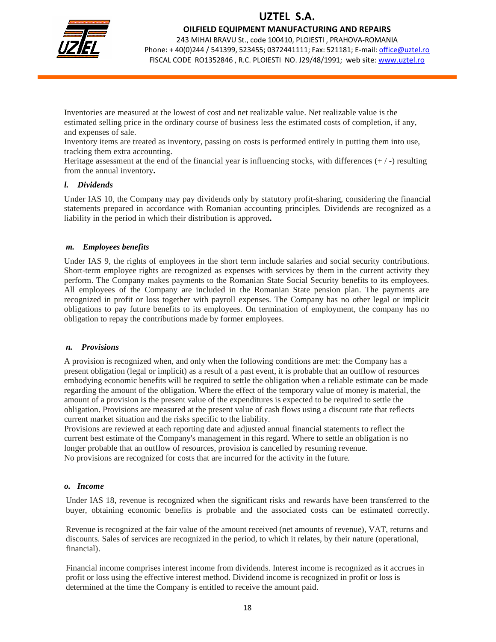

OILFIELD EQUIPMENT MANUFACTURING AND REPAIRS

243 MIHAI BRAVU St., code 100410, PLOIESTI , PRAHOVA-ROMANIA Phone: +40(0)244 / 541399, 523455; 0372441111; Fax: 521181; E-mail: office@uztel.ro FISCAL CODE RO1352846 , R.C. PLOIESTI NO. J29/48/1991; web site: www.uztel.ro

j

Inventories are measured at the lowest of cost and net realizable value. Net realizable value is the estimated selling price in the ordinary course of business less the estimated costs of completion, if any, and expenses of sale.

Inventory items are treated as inventory, passing on costs is performed entirely in putting them into use, tracking them extra accounting.

Heritage assessment at the end of the financial year is influencing stocks, with differences  $(+/-)$  resulting from the annual inventory**.** 

### *l. Dividends*

Under IAS 10, the Company may pay dividends only by statutory profit-sharing, considering the financial statements prepared in accordance with Romanian accounting principles. Dividends are recognized as a liability in the period in which their distribution is approved**.** 

#### *m. Employees benefits*

Under IAS 9, the rights of employees in the short term include salaries and social security contributions. Short-term employee rights are recognized as expenses with services by them in the current activity they perform. The Company makes payments to the Romanian State Social Security benefits to its employees. All employees of the Company are included in the Romanian State pension plan. The payments are recognized in profit or loss together with payroll expenses. The Company has no other legal or implicit obligations to pay future benefits to its employees. On termination of employment, the company has no obligation to repay the contributions made by former employees.

#### *n. Provisions*

A provision is recognized when, and only when the following conditions are met: the Company has a present obligation (legal or implicit) as a result of a past event, it is probable that an outflow of resources embodying economic benefits will be required to settle the obligation when a reliable estimate can be made regarding the amount of the obligation. Where the effect of the temporary value of money is material, the amount of a provision is the present value of the expenditures is expected to be required to settle the obligation. Provisions are measured at the present value of cash flows using a discount rate that reflects current market situation and the risks specific to the liability.

Provisions are reviewed at each reporting date and adjusted annual financial statements to reflect the current best estimate of the Company's management in this regard. Where to settle an obligation is no longer probable that an outflow of resources, provision is cancelled by resuming revenue. No provisions are recognized for costs that are incurred for the activity in the future.

#### *o. Income*

Under IAS 18, revenue is recognized when the significant risks and rewards have been transferred to the buyer, obtaining economic benefits is probable and the associated costs can be estimated correctly.

Revenue is recognized at the fair value of the amount received (net amounts of revenue), VAT, returns and discounts. Sales of services are recognized in the period, to which it relates, by their nature (operational, financial).

Financial income comprises interest income from dividends. Interest income is recognized as it accrues in profit or loss using the effective interest method. Dividend income is recognized in profit or loss is determined at the time the Company is entitled to receive the amount paid.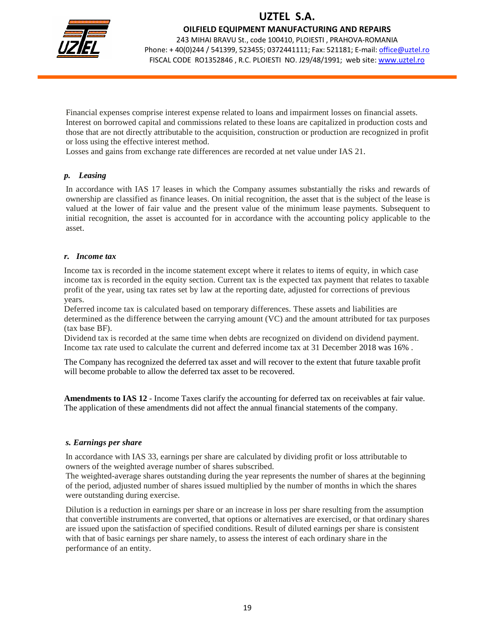

OILFIELD EQUIPMENT MANUFACTURING AND REPAIRS

243 MIHAI BRAVU St., code 100410, PLOIESTI , PRAHOVA-ROMANIA Phone: +40(0)244 / 541399, 523455; 0372441111; Fax: 521181; E-mail: office@uztel.ro FISCAL CODE RO1352846 , R.C. PLOIESTI NO. J29/48/1991; web site: www.uztel.ro

j

Financial expenses comprise interest expense related to loans and impairment losses on financial assets. Interest on borrowed capital and commissions related to these loans are capitalized in production costs and those that are not directly attributable to the acquisition, construction or production are recognized in profit or loss using the effective interest method.

Losses and gains from exchange rate differences are recorded at net value under IAS 21.

#### *p. Leasing*

In accordance with IAS 17 leases in which the Company assumes substantially the risks and rewards of ownership are classified as finance leases. On initial recognition, the asset that is the subject of the lease is valued at the lower of fair value and the present value of the minimum lease payments. Subsequent to initial recognition, the asset is accounted for in accordance with the accounting policy applicable to the asset.

#### *r. Income tax*

Income tax is recorded in the income statement except where it relates to items of equity, in which case income tax is recorded in the equity section. Current tax is the expected tax payment that relates to taxable profit of the year, using tax rates set by law at the reporting date, adjusted for corrections of previous years.

Deferred income tax is calculated based on temporary differences. These assets and liabilities are determined as the difference between the carrying amount (VC) and the amount attributed for tax purposes (tax base BF).

Dividend tax is recorded at the same time when debts are recognized on dividend on dividend payment. Income tax rate used to calculate the current and deferred income tax at 31 December 2018 was 16% .

The Company has recognized the deferred tax asset and will recover to the extent that future taxable profit will become probable to allow the deferred tax asset to be recovered.

**Amendments to IAS 12** - Income Taxes clarify the accounting for deferred tax on receivables at fair value. The application of these amendments did not affect the annual financial statements of the company.

#### *s. Earnings per share*

In accordance with IAS 33, earnings per share are calculated by dividing profit or loss attributable to owners of the weighted average number of shares subscribed.

The weighted-average shares outstanding during the year represents the number of shares at the beginning of the period, adjusted number of shares issued multiplied by the number of months in which the shares were outstanding during exercise.

Dilution is a reduction in earnings per share or an increase in loss per share resulting from the assumption that convertible instruments are converted, that options or alternatives are exercised, or that ordinary shares are issued upon the satisfaction of specified conditions. Result of diluted earnings per share is consistent with that of basic earnings per share namely, to assess the interest of each ordinary share in the performance of an entity.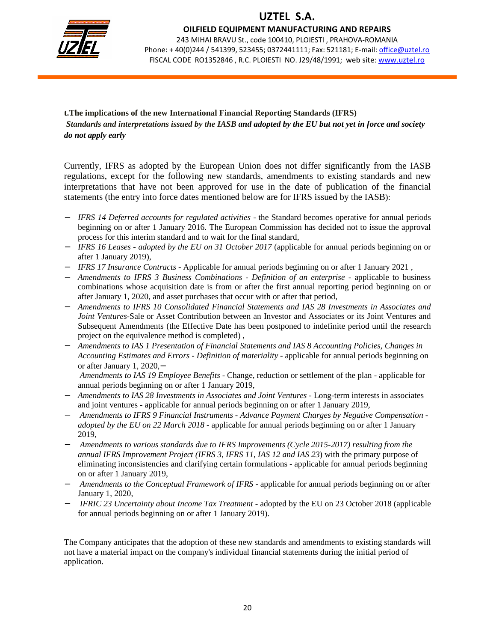

### OILFIELD EQUIPMENT MANUFACTURING AND REPAIRS

243 MIHAI BRAVU St., code 100410, PLOIESTI , PRAHOVA-ROMANIA Phone: +40(0)244 / 541399, 523455; 0372441111; Fax: 521181; E-mail: office@uztel.ro FISCAL CODE RO1352846 , R.C. PLOIESTI NO. J29/48/1991; web site: www.uztel.ro

j

**t.The implications of the new International Financial Reporting Standards (IFRS)**   *Standards and interpretations issued by the IASB and adopted by the EU but not yet in force and society do not apply early*

Currently, IFRS as adopted by the European Union does not differ significantly from the IASB regulations, except for the following new standards, amendments to existing standards and new interpretations that have not been approved for use in the date of publication of the financial statements (the entry into force dates mentioned below are for IFRS issued by the IASB):

- − *IFRS 14 Deferred accounts for regulated activities* the Standard becomes operative for annual periods beginning on or after 1 January 2016. The European Commission has decided not to issue the approval process for this interim standard and to wait for the final standard,
- − *IFRS 16 Leases adopted by the EU on 31 October 2017* (applicable for annual periods beginning on or after 1 January 2019),
- − *IFRS 17 Insurance Contracts* Applicable for annual periods beginning on or after 1 January 2021 ,
- − *Amendments to IFRS 3 Business Combinations Definition of an enterprise* applicable to business combinations whose acquisition date is from or after the first annual reporting period beginning on or after January 1, 2020, and asset purchases that occur with or after that period,
- − *Amendments to IFRS 10 Consolidated Financial Statements and IAS 28 Investments in Associates and Joint Ventures*-Sale or Asset Contribution between an Investor and Associates or its Joint Ventures and Subsequent Amendments (the Effective Date has been postponed to indefinite period until the research project on the equivalence method is completed) ,
- − *Amendments to IAS 1 Presentation of Financial Statements and IAS 8 Accounting Policies, Changes in Accounting Estimates and Errors - Definition of materiality* - applicable for annual periods beginning on or after January 1, 2020,−

*Amendments to IAS 19 Employee Benefits* - Change, reduction or settlement of the plan - applicable for annual periods beginning on or after 1 January 2019,

- − *Amendments to IAS 28 Investments in Associates and Joint Ventures* Long-term interests in associates and joint ventures - applicable for annual periods beginning on or after 1 January 2019,
- − *Amendments to IFRS 9 Financial Instruments Advance Payment Charges by Negative Compensation adopted by the EU on 22 March 2018* - applicable for annual periods beginning on or after 1 January 2019,
- − *Amendments to various standards due to IFRS Improvements (Cycle 2015-2017) resulting from the annual IFRS Improvement Project (IFRS 3, IFRS 11, IAS 12 and IAS 23*) with the primary purpose of eliminating inconsistencies and clarifying certain formulations - applicable for annual periods beginning on or after 1 January 2019,
- *Amendments to the Conceptual Framework of IFRS* applicable for annual periods beginning on or after January 1, 2020,
- *IFRIC 23 Uncertainty about Income Tax Treatment* adopted by the EU on 23 October 2018 (applicable for annual periods beginning on or after 1 January 2019).

The Company anticipates that the adoption of these new standards and amendments to existing standards will not have a material impact on the company's individual financial statements during the initial period of application.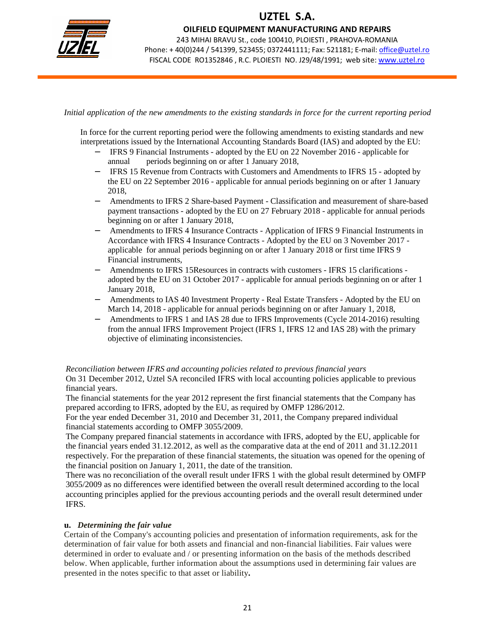

OILFIELD EQUIPMENT MANUFACTURING AND REPAIRS

243 MIHAI BRAVU St., code 100410, PLOIESTI , PRAHOVA-ROMANIA Phone: +40(0)244 / 541399, 523455; 0372441111; Fax: 521181; E-mail: office@uztel.ro FISCAL CODE RO1352846 , R.C. PLOIESTI NO. J29/48/1991; web site: www.uztel.ro

j

*Initial application of the new amendments to the existing standards in force for the current reporting period* 

In force for the current reporting period were the following amendments to existing standards and new interpretations issued by the International Accounting Standards Board (IAS) and adopted by the EU:

- − IFRS 9 Financial Instruments adopted by the EU on 22 November 2016 applicable for annual periods beginning on or after 1 January 2018,
- − IFRS 15 Revenue from Contracts with Customers and Amendments to IFRS 15 adopted by the EU on 22 September 2016 - applicable for annual periods beginning on or after 1 January 2018,
- − Amendments to IFRS 2 Share-based Payment Classification and measurement of share-based payment transactions - adopted by the EU on 27 February 2018 - applicable for annual periods beginning on or after 1 January 2018,
- − Amendments to IFRS 4 Insurance Contracts Application of IFRS 9 Financial Instruments in Accordance with IFRS 4 Insurance Contracts - Adopted by the EU on 3 November 2017 applicable for annual periods beginning on or after 1 January 2018 or first time IFRS 9 Financial instruments,
- − Amendments to IFRS 15Resources in contracts with customers IFRS 15 clarifications adopted by the EU on 31 October 2017 - applicable for annual periods beginning on or after 1 January 2018,
- − Amendments to IAS 40 Investment Property Real Estate Transfers Adopted by the EU on March 14, 2018 - applicable for annual periods beginning on or after January 1, 2018,
- − Amendments to IFRS 1 and IAS 28 due to IFRS Improvements (Cycle 2014-2016) resulting from the annual IFRS Improvement Project (IFRS 1, IFRS 12 and IAS 28) with the primary objective of eliminating inconsistencies.

#### *Reconciliation between IFRS and accounting policies related to previous financial years*  On 31 December 2012, Uztel SA reconciled IFRS with local accounting policies applicable to previous financial years.

The financial statements for the year 2012 represent the first financial statements that the Company has prepared according to IFRS, adopted by the EU, as required by OMFP 1286/2012.

For the year ended December 31, 2010 and December 31, 2011, the Company prepared individual financial statements according to OMFP 3055/2009.

The Company prepared financial statements in accordance with IFRS, adopted by the EU, applicable for the financial years ended 31.12.2012, as well as the comparative data at the end of 2011 and 31.12.2011 respectively. For the preparation of these financial statements, the situation was opened for the opening of the financial position on January 1, 2011, the date of the transition.

There was no reconciliation of the overall result under IFRS 1 with the global result determined by OMFP 3055/2009 as no differences were identified between the overall result determined according to the local accounting principles applied for the previous accounting periods and the overall result determined under IFRS.

### **u.** *Determining the fair value*

Certain of the Company's accounting policies and presentation of information requirements, ask for the determination of fair value for both assets and financial and non-financial liabilities. Fair values were determined in order to evaluate and / or presenting information on the basis of the methods described below. When applicable, further information about the assumptions used in determining fair values are presented in the notes specific to that asset or liability**.**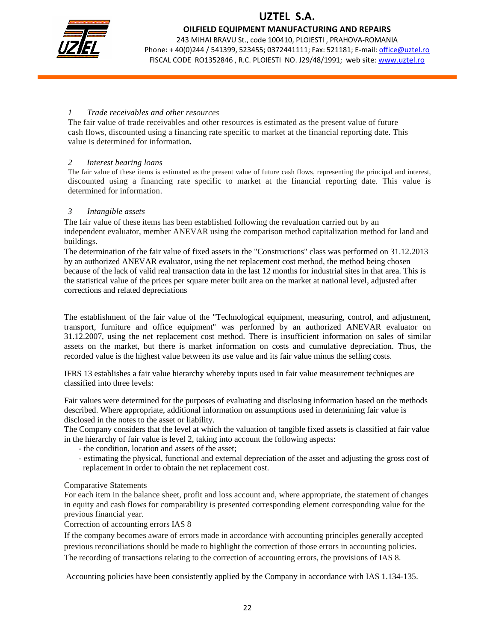

OILFIELD EQUIPMENT MANUFACTURING AND REPAIRS

243 MIHAI BRAVU St., code 100410, PLOIESTI , PRAHOVA-ROMANIA Phone: +40(0)244 / 541399, 523455; 0372441111; Fax: 521181; E-mail: office@uztel.ro FISCAL CODE RO1352846 , R.C. PLOIESTI NO. J29/48/1991; web site: www.uztel.ro

j

### *1 Trade receivables and other resources*

The fair value of trade receivables and other resources is estimated as the present value of future cash flows, discounted using a financing rate specific to market at the financial reporting date. This value is determined for information*.* 

### *2 Interest bearing loans*

The fair value of these items is estimated as the present value of future cash flows, representing the principal and interest, discounted using a financing rate specific to market at the financial reporting date. This value is determined for information.

### *3 Intangible assets*

The fair value of these items has been established following the revaluation carried out by an independent evaluator, member ANEVAR using the comparison method capitalization method for land and buildings.

The determination of the fair value of fixed assets in the "Constructions" class was performed on 31.12.2013 by an authorized ANEVAR evaluator, using the net replacement cost method, the method being chosen because of the lack of valid real transaction data in the last 12 months for industrial sites in that area. This is the statistical value of the prices per square meter built area on the market at national level, adjusted after corrections and related depreciations

The establishment of the fair value of the "Technological equipment, measuring, control, and adjustment, transport, furniture and office equipment" was performed by an authorized ANEVAR evaluator on 31.12.2007, using the net replacement cost method. There is insufficient information on sales of similar assets on the market, but there is market information on costs and cumulative depreciation. Thus, the recorded value is the highest value between its use value and its fair value minus the selling costs.

IFRS 13 establishes a fair value hierarchy whereby inputs used in fair value measurement techniques are classified into three levels:

Fair values were determined for the purposes of evaluating and disclosing information based on the methods described. Where appropriate, additional information on assumptions used in determining fair value is disclosed in the notes to the asset or liability.

The Company considers that the level at which the valuation of tangible fixed assets is classified at fair value in the hierarchy of fair value is level 2, taking into account the following aspects:

- the condition, location and assets of the asset;
- estimating the physical, functional and external depreciation of the asset and adjusting the gross cost of replacement in order to obtain the net replacement cost.

### Comparative Statements

For each item in the balance sheet, profit and loss account and, where appropriate, the statement of changes in equity and cash flows for comparability is presented corresponding element corresponding value for the previous financial year.

Correction of accounting errors IAS 8

If the company becomes aware of errors made in accordance with accounting principles generally accepted previous reconciliations should be made to highlight the correction of those errors in accounting policies. The recording of transactions relating to the correction of accounting errors, the provisions of IAS 8.

Accounting policies have been consistently applied by the Company in accordance with IAS 1.134-135.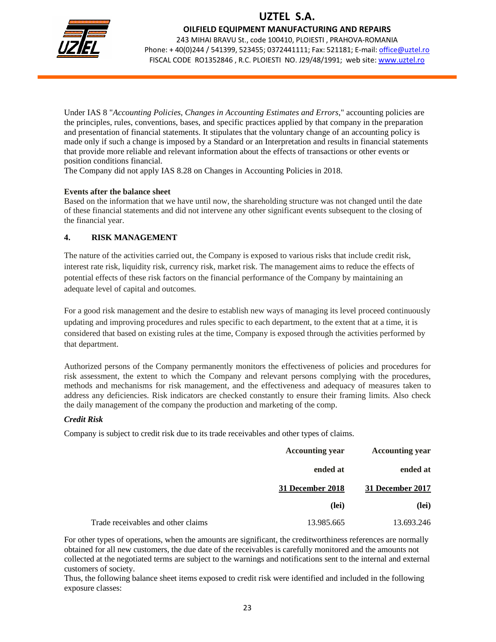

OILFIELD EQUIPMENT MANUFACTURING AND REPAIRS

243 MIHAI BRAVU St., code 100410, PLOIESTI , PRAHOVA-ROMANIA Phone: + 40(0)244 / 541399, 523455; 0372441111; Fax: 521181; E-mail: office@uztel.ro FISCAL CODE RO1352846 , R.C. PLOIESTI NO. J29/48/1991; web site: www.uztel.ro

j

Under IAS 8 "*Accounting Policies, Changes in Accounting Estimates and Errors*," accounting policies are the principles, rules, conventions, bases, and specific practices applied by that company in the preparation and presentation of financial statements. It stipulates that the voluntary change of an accounting policy is made only if such a change is imposed by a Standard or an Interpretation and results in financial statements that provide more reliable and relevant information about the effects of transactions or other events or position conditions financial.

The Company did not apply IAS 8.28 on Changes in Accounting Policies in 2018.

#### **Events after the balance sheet**

Based on the information that we have until now, the shareholding structure was not changed until the date of these financial statements and did not intervene any other significant events subsequent to the closing of the financial year.

### **4. RISK MANAGEMENT**

The nature of the activities carried out, the Company is exposed to various risks that include credit risk, interest rate risk, liquidity risk, currency risk, market risk. The management aims to reduce the effects of potential effects of these risk factors on the financial performance of the Company by maintaining an adequate level of capital and outcomes.

For a good risk management and the desire to establish new ways of managing its level proceed continuously updating and improving procedures and rules specific to each department, to the extent that at a time, it is considered that based on existing rules at the time, Company is exposed through the activities performed by that department.

Authorized persons of the Company permanently monitors the effectiveness of policies and procedures for risk assessment, the extent to which the Company and relevant persons complying with the procedures, methods and mechanisms for risk management, and the effectiveness and adequacy of measures taken to address any deficiencies. Risk indicators are checked constantly to ensure their framing limits. Also check the daily management of the company the production and marketing of the comp.

### *Credit Risk*

Company is subject to credit risk due to its trade receivables and other types of claims.

| <b>Accounting year</b> | <b>Accounting year</b> |                                    |
|------------------------|------------------------|------------------------------------|
| ended at               | ended at               |                                    |
| 31 December 2017       | 31 December 2018       |                                    |
| (lei)                  | (lei)                  |                                    |
| 13.693.246             | 13.985.665             | Trade receivables and other claims |

For other types of operations, when the amounts are significant, the creditworthiness references are normally obtained for all new customers, the due date of the receivables is carefully monitored and the amounts not collected at the negotiated terms are subject to the warnings and notifications sent to the internal and external customers of society.

Thus, the following balance sheet items exposed to credit risk were identified and included in the following exposure classes: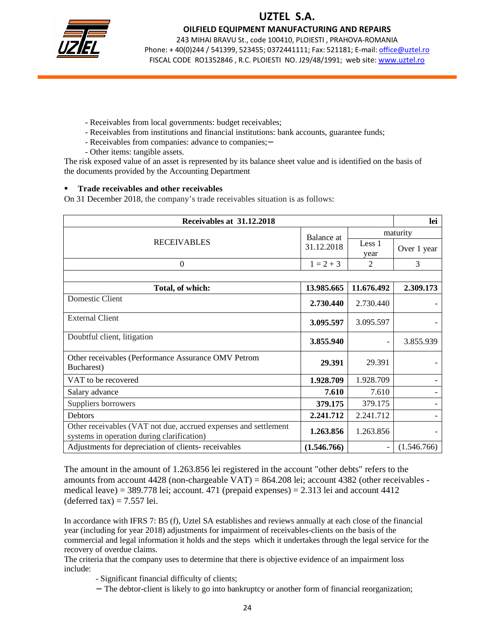

OILFIELD EQUIPMENT MANUFACTURING AND REPAIRS

243 MIHAI BRAVU St., code 100410, PLOIESTI , PRAHOVA-ROMANIA Phone: + 40(0)244 / 541399, 523455; 0372441111; Fax: 521181; E-mail: office@uztel.ro FISCAL CODE RO1352846 , R.C. PLOIESTI NO. J29/48/1991; web site: www.uztel.ro

j

- Receivables from local governments: budget receivables;
- Receivables from institutions and financial institutions: bank accounts, guarantee funds;
- Receivables from companies: advance to companies;−
- Other items: tangible assets.

The risk exposed value of an asset is represented by its balance sheet value and is identified on the basis of the documents provided by the Accounting Department

#### **Trade receivables and other receivables**

On 31 December 2018, the company's trade receivables situation is as follows:

| Receivables at 31.12.2018                                                                                     |             |                | lei         |
|---------------------------------------------------------------------------------------------------------------|-------------|----------------|-------------|
|                                                                                                               | Balance at  |                | maturity    |
| <b>RECEIVABLES</b>                                                                                            | 31.12.2018  | Less 1<br>year | Over 1 year |
| $\mathbf{0}$                                                                                                  | $1 = 2 + 3$ | 2              | 3           |
|                                                                                                               |             |                |             |
| Total, of which:                                                                                              | 13.985.665  | 11.676.492     | 2.309.173   |
| Domestic Client                                                                                               | 2.730.440   | 2.730.440      |             |
| <b>External Client</b>                                                                                        | 3.095.597   | 3.095.597      |             |
| Doubtful client, litigation                                                                                   | 3.855.940   |                | 3.855.939   |
| Other receivables (Performance Assurance OMV Petrom<br>Bucharest)                                             | 29.391      | 29.391         |             |
| VAT to be recovered                                                                                           | 1.928.709   | 1.928.709      |             |
| Salary advance                                                                                                | 7.610       | 7.610          |             |
| Suppliers borrowers                                                                                           | 379.175     | 379.175        |             |
| <b>Debtors</b>                                                                                                | 2.241.712   | 2.241.712      |             |
| Other receivables (VAT not due, accrued expenses and settlement<br>systems in operation during clarification) | 1.263.856   | 1.263.856      |             |
| Adjustments for depreciation of clients- receivables                                                          | (1.546.766) | -              | (1.546.766) |

The amount in the amount of 1.263.856 lei registered in the account "other debts" refers to the amounts from account 4428 (non-chargeable VAT) = 864.208 lei; account 4382 (other receivables medical leave) = 389.778 lei; account. 471 (prepaid expenses) = 2.313 lei and account 4412  $(\text{deferred tax}) = 7.557 \text{ lei}.$ 

In accordance with IFRS 7: B5 (f), Uztel SA establishes and reviews annually at each close of the financial year (including for year 2018) adjustments for impairment of receivables-clients on the basis of the commercial and legal information it holds and the steps which it undertakes through the legal service for the recovery of overdue claims.

The criteria that the company uses to determine that there is objective evidence of an impairment loss include:

- Significant financial difficulty of clients;
- − The debtor-client is likely to go into bankruptcy or another form of financial reorganization;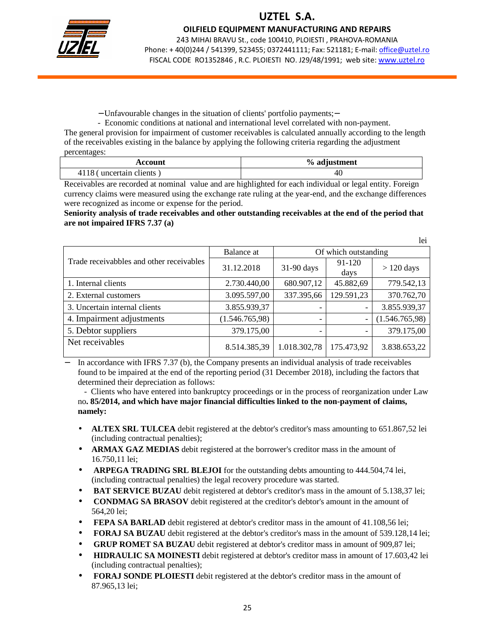

OILFIELD EQUIPMENT MANUFACTURING AND REPAIRS

243 MIHAI BRAVU St., code 100410, PLOIESTI , PRAHOVA-ROMANIA Phone: + 40(0)244 / 541399, 523455; 0372441111; Fax: 521181; E-mail: office@uztel.ro FISCAL CODE RO1352846 , R.C. PLOIESTI NO. J29/48/1991; web site: www.uztel.ro

j

 $1<sub>2</sub>$ :

− Unfavourable changes in the situation of clients' portfolio payments;−

 - Economic conditions at national and international level correlated with non-payment. The general provision for impairment of customer receivables is calculated annually according to the length of the receivables existing in the balance by applying the following criteria regarding the adjustment percentages:

| Account                  | % adjustment |
|--------------------------|--------------|
| 4118 (uncertain clients) |              |

Receivables are recorded at nominal value and are highlighted for each individual or legal entity. Foreign currency claims were measured using the exchange rate ruling at the year-end, and the exchange differences were recognized as income or expense for the period.

#### **Seniority analysis of trade receivables and other outstanding receivables at the end of the period that are not impaired IFRS 7.37 (a)**

|                                          |                                    |                          |                | IEI            |
|------------------------------------------|------------------------------------|--------------------------|----------------|----------------|
|                                          | Balance at<br>Of which outstanding |                          |                |                |
| Trade receivabbles and other receivables | 31.12.2018                         | 31-90 days               | 91-120<br>days | $> 120$ days   |
| 1. Internal clients                      | 2.730.440,00                       | 680.907,12               | 45.882,69      | 779.542,13     |
| 2. External customers                    | 3.095.597,00                       | 337.395,66               | 129.591,23     | 370.762,70     |
| 3. Uncertain internal clients            | 3.855.939,37                       |                          |                | 3.855.939,37   |
| 4. Impairment adjustments                | (1.546.765,98)                     | -                        |                | (1.546.765,98) |
| 5. Debtor suppliers                      | 379.175,00                         | $\overline{\phantom{a}}$ |                | 379.175,00     |
| Net receivables                          | 8.514.385,39                       | 1.018.302,78             | 175.473,92     | 3.838.653,22   |

In accordance with IFRS 7.37 (b), the Company presents an individual analysis of trade receivables found to be impaired at the end of the reporting period (31 December 2018), including the factors that determined their depreciation as follows:

 - Clients who have entered into bankruptcy proceedings or in the process of reorganization under Law no**. 85/2014, and which have major financial difficulties linked to the non-payment of claims, namely:** 

- **ALTEX SRL TULCEA** debit registered at the debtor's creditor's mass amounting to 651.867,52 lei (including contractual penalties);
- **ARMAX GAZ MEDIAS** debit registered at the borrower's creditor mass in the amount of 16.750,11 lei;
- **ARPEGA TRADING SRL BLEJOI** for the outstanding debts amounting to 444.504,74 lei, (including contractual penalties) the legal recovery procedure was started.
- **BAT SERVICE BUZAU** debit registered at debtor's creditor's mass in the amount of 5.138,37 lei;
- **CONDMAG SA BRASOV** debit registered at the creditor's debtor's amount in the amount of 564,20 lei;
- **FEPA SA BARLAD** debit registered at debtor's creditor mass in the amount of 41.108,56 lei;
- **FORAJ SA BUZAU** debit registered at the debtor's creditor's mass in the amount of 539.128,14 lei;
- **GRUP ROMET SA BUZAU** debit registered at debtor's creditor mass in amount of 909,87 lei;
- **HIDRAULIC SA MOINESTI** debit registered at debtor's creditor mass in amount of 17.603,42 lei (including contractual penalties);
- **FORAJ SONDE PLOIESTI** debit registered at the debtor's creditor mass in the amount of 87.965,13 lei;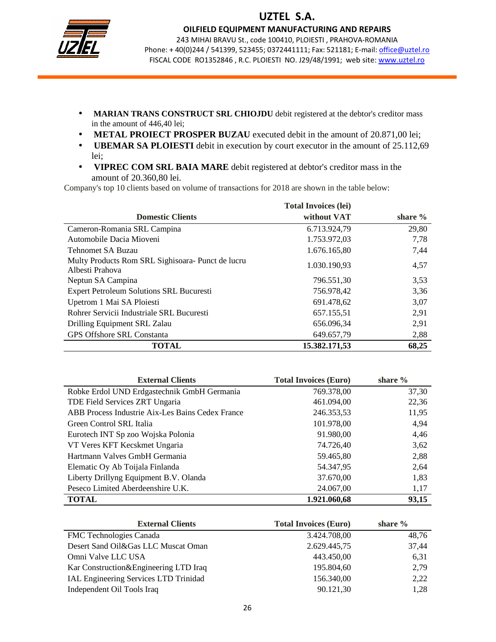

OILFIELD EQUIPMENT MANUFACTURING AND REPAIRS

243 MIHAI BRAVU St., code 100410, PLOIESTI , PRAHOVA-ROMANIA Phone: + 40(0)244 / 541399, 523455; 0372441111; Fax: 521181; E-mail: office@uztel.ro FISCAL CODE RO1352846, R.C. PLOIESTI NO. J29/48/1991; web site: www.uztel.ro

j

- **MARIAN TRANS CONSTRUCT SRL CHIOJDU** debit registered at the debtor's creditor mass in the amount of 446,40 lei;
- **METAL PROIECT PROSPER BUZAU** executed debit in the amount of 20.871,00 lei;
- **UBEMAR SA PLOIESTI** debit in execution by court executor in the amount of 25.112,69 lei;
- **VIPREC COM SRL BAIA MARE** debit registered at debtor's creditor mass in the amount of 20.360,80 lei.

Company's top 10 clients based on volume of transactions for 2018 are shown in the table below:

|                                                                      | <b>Total Invoices (lei)</b> |            |
|----------------------------------------------------------------------|-----------------------------|------------|
| <b>Domestic Clients</b>                                              | without VAT                 | share $\%$ |
| Cameron-Romania SRL Campina                                          | 6.713.924,79                | 29,80      |
| Automobile Dacia Mioveni                                             | 1.753.972,03                | 7,78       |
| <b>Tehnomet SA Buzau</b>                                             | 1.676.165,80                | 7,44       |
| Multy Products Rom SRL Sighisoara- Punct de lucru<br>Albesti Prahova | 1.030.190,93                | 4,57       |
| Neptun SA Campina                                                    | 796.551,30                  | 3,53       |
| <b>Expert Petroleum Solutions SRL Bucuresti</b>                      | 756.978,42                  | 3,36       |
| Upetrom 1 Mai SA Ploiesti                                            | 691.478,62                  | 3,07       |
| Rohrer Servicii Industriale SRL Bucuresti                            | 657.155,51                  | 2,91       |
| Drilling Equipment SRL Zalau                                         | 656.096,34                  | 2,91       |
| <b>GPS Offshore SRL Constanta</b>                                    | 649.657,79                  | 2,88       |
| <b>TOTAL</b>                                                         | 15.382.171,53               | 68,25      |

| <b>External Clients</b>                          | <b>Total Invoices (Euro)</b> | share $%$ |
|--------------------------------------------------|------------------------------|-----------|
| Robke Erdol UND Erdgastechnik GmbH Germania      | 769.378,00                   | 37,30     |
| TDE Field Services ZRT Ungaria                   | 461.094,00                   | 22,36     |
| ABB Process Industrie Aix-Les Bains Cedex France | 246.353,53                   | 11,95     |
| Green Control SRL Italia                         | 101.978,00                   | 4,94      |
| Eurotech INT Sp zoo Wojska Polonia               | 91.980,00                    | 4,46      |
| VT Veres KFT Kecskmet Ungaria                    | 74.726,40                    | 3,62      |
| Hartmann Valves GmbH Germania                    | 59.465,80                    | 2,88      |
| Elematic Oy Ab Toijala Finlanda                  | 54.347,95                    | 2,64      |
| Liberty Drillyng Equipment B.V. Olanda           | 37.670,00                    | 1,83      |
| Peseco Limited Aberdeenshire U.K.                | 24.067,00                    | 1,17      |
| <b>TOTAL</b>                                     | 1.921.060,68                 | 93,15     |

| <b>External Clients</b>               | <b>Total Invoices (Euro)</b> | share $\%$ |
|---------------------------------------|------------------------------|------------|
| <b>FMC</b> Technologies Canada        | 3.424.708,00                 | 48,76      |
| Desert Sand Oil&Gas LLC Muscat Oman   | 2.629.445,75                 | 37,44      |
| Omni Valve LLC USA                    | 443.450,00                   | 6.31       |
| Kar Construction&Engineering LTD Iraq | 195.804,60                   | 2,79       |
| IAL Engineering Services LTD Trinidad | 156.340,00                   | 2,22       |
| Independent Oil Tools Iraq            | 90.121,30                    | 1,28       |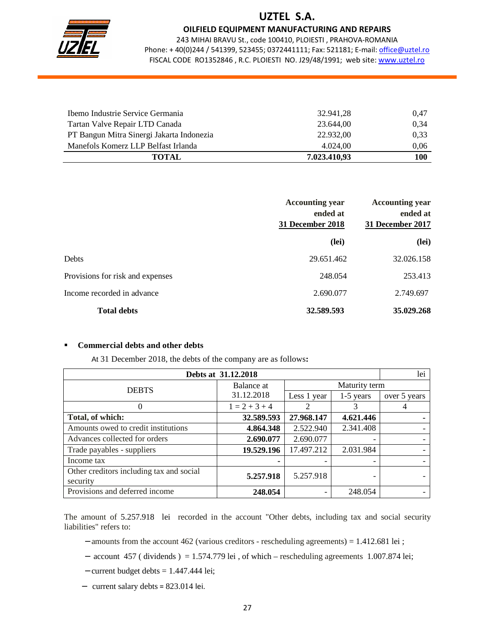

OILFIELD EQUIPMENT MANUFACTURING AND REPAIRS

243 MIHAI BRAVU St., code 100410, PLOIESTI , PRAHOVA-ROMANIA Phone: + 40(0)244 / 541399, 523455; 0372441111; Fax: 521181; E-mail: office@uztel.ro FISCAL CODE RO1352846, R.C. PLOIESTI NO. J29/48/1991; web site: www.uztel.ro

j

| Ibemo Industrie Service Germania          | 32.941.28    | 0,47 |
|-------------------------------------------|--------------|------|
| Tartan Valve Repair LTD Canada            | 23.644.00    | 0,34 |
| PT Bangun Mitra Sinergi Jakarta Indonezia | 22.932.00    | 0,33 |
| Manefols Komerz LLP Belfast Irlanda       | 4.024.00     | 0,06 |
| <b>TOTAL</b>                              | 7.023.410.93 | 100  |

|                                  | <b>Accounting year</b><br>ended at<br>31 December 2018 | <b>Accounting year</b><br>ended at<br>31 December 2017 |
|----------------------------------|--------------------------------------------------------|--------------------------------------------------------|
|                                  | (lei)                                                  | (lei)                                                  |
| Debts                            | 29.651.462                                             | 32.026.158                                             |
| Provisions for risk and expenses | 248.054                                                | 253.413                                                |
| Income recorded in advance       | 2.690.077                                              | 2.749.697                                              |
| <b>Total debts</b>               | 32.589.593                                             | 35.029.268                                             |

#### **Commercial debts and other debts**

At 31 December 2018, the debts of the company are as follows**:** 

| Debts at 31.12.2018                      |                 |             |               | lei          |
|------------------------------------------|-----------------|-------------|---------------|--------------|
| <b>DEBTS</b>                             | Balance at      |             | Maturity term |              |
|                                          | 31.12.2018      | Less 1 year | $1-5$ years   | over 5 years |
| $\Omega$                                 | $1 = 2 + 3 + 4$ | 2           | 3             | 4            |
| Total, of which:                         | 32.589.593      | 27.968.147  | 4.621.446     |              |
| Amounts owed to credit institutions      | 4.864.348       | 2.522.940   | 2.341.408     |              |
| Advances collected for orders            | 2.690.077       | 2.690.077   |               |              |
| Trade payables - suppliers               | 19.529.196      | 17.497.212  | 2.031.984     |              |
| Income tax                               |                 |             |               |              |
| Other creditors including tax and social | 5.257.918       | 5.257.918   |               |              |
| security                                 |                 |             |               |              |
| Provisions and deferred income           | 248.054         |             | 248.054       |              |

The amount of 5.257.918 lei recorded in the account "Other debts, including tax and social security liabilities" refers to:

- − amounts from the account 462 (various creditors rescheduling agreements) = 1.412.681 lei ;
- − account 457 ( dividends ) = 1.574.779 lei , of which rescheduling agreements 1.007.874 lei;
- − current budget debts = 1.447.444 lei;
- − current salary debts = 823.014 lei.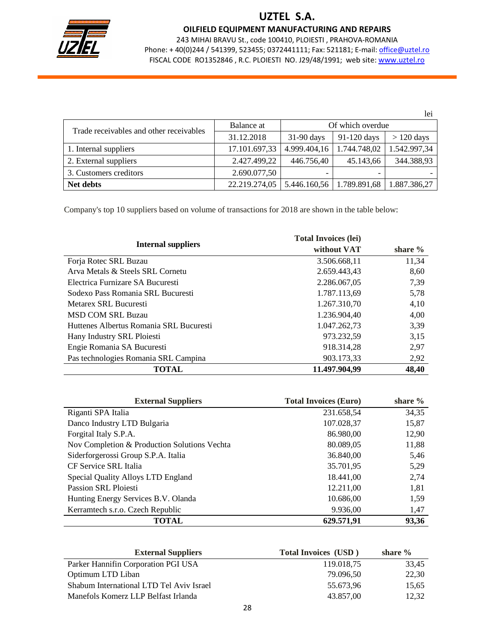

OILFIELD EQUIPMENT MANUFACTURING AND REPAIRS

243 MIHAI BRAVU St., code 100410, PLOIESTI , PRAHOVA-ROMANIA Phone: +40(0)244 / 541399, 523455; 0372441111; Fax: 521181; E-mail: office@uztel.ro FISCAL CODE RO1352846 , R.C. PLOIESTI NO. J29/48/1991; web site: www.uztel.ro

j

|                                         |               |                          |              | lei          |
|-----------------------------------------|---------------|--------------------------|--------------|--------------|
| Trade receivables and other receivables | Balance at    | Of which overdue         |              |              |
|                                         | 31.12.2018    | $31-90$ days             | 91-120 days  | $> 120$ days |
| 1. Internal suppliers                   | 17.101.697,33 | 4.999.404,16             | 1.744.748,02 | 1.542.997,34 |
| 2. External suppliers                   | 2.427.499,22  | 446.756,40               | 45.143,66    | 344.388,93   |
| 3. Customers creditors                  | 2.690.077,50  | $\overline{\phantom{0}}$ |              |              |
| <b>Net debts</b>                        | 22.219.274,05 | 5.446.160,56             | 1.789.891,68 | 1.887.386,27 |

Company's top 10 suppliers based on volume of transactions for 2018 are shown in the table below:

|                                         | <b>Total Invoices (lei)</b> |            |
|-----------------------------------------|-----------------------------|------------|
| <b>Internal suppliers</b>               | without VAT                 | share $\%$ |
| Forja Rotec SRL Buzau                   | 3.506.668.11                | 11,34      |
| Arva Metals & Steels SRL Cornetu        | 2.659.443,43                | 8,60       |
| Electrica Furnizare SA Bucuresti        | 2.286.067.05                | 7,39       |
| Sodexo Pass Romania SRL Bucuresti       | 1.787.113.69                | 5,78       |
| Metarex SRL Bucuresti                   | 1.267.310.70                | 4,10       |
| <b>MSD COM SRL Buzau</b>                | 1.236.904.40                | 4.00       |
| Huttenes Albertus Romania SRL Bucuresti | 1.047.262.73                | 3,39       |
| Hany Industry SRL Ploiesti              | 973.232,59                  | 3,15       |
| Engie Romania SA Bucuresti              | 918.314,28                  | 2,97       |
| Pas technologies Romania SRL Campina    | 903.173,33                  | 2,92       |
| TOTAL                                   | 11.497.904,99               | 48,40      |

| <b>External Suppliers</b>                    | <b>Total Invoices (Euro)</b> | share $%$ |
|----------------------------------------------|------------------------------|-----------|
| Riganti SPA Italia                           | 231.658,54                   | 34,35     |
| Danco Industry LTD Bulgaria                  | 107.028,37                   | 15,87     |
| Forgital Italy S.P.A.                        | 86.980,00                    | 12,90     |
| Nov Completion & Production Solutions Vechta | 80.089,05                    | 11,88     |
| Siderforgerossi Group S.P.A. Italia          | 36.840,00                    | 5,46      |
| CF Service SRL Italia                        | 35.701,95                    | 5,29      |
| Special Quality Alloys LTD England           | 18.441,00                    | 2,74      |
| <b>Passion SRL Ploiesti</b>                  | 12.211,00                    | 1,81      |
| Hunting Energy Services B.V. Olanda          | 10.686,00                    | 1,59      |
| Kerramtech s.r.o. Czech Republic             | 9.936,00                     | 1,47      |
| <b>TOTAL</b>                                 | 629.571,91                   | 93,36     |

| <b>External Suppliers</b>                | <b>Total Invoices</b> (USD) | share $\%$ |
|------------------------------------------|-----------------------------|------------|
| Parker Hannifin Corporation PGI USA      | 119.018,75                  | 33,45      |
| Optimum LTD Liban                        | 79.096.50                   | 22,30      |
| Shabum International LTD Tel Aviv Israel | 55.673.96                   | 15,65      |
| Manefols Komerz LLP Belfast Irlanda      | 43.857.00                   | 12.32      |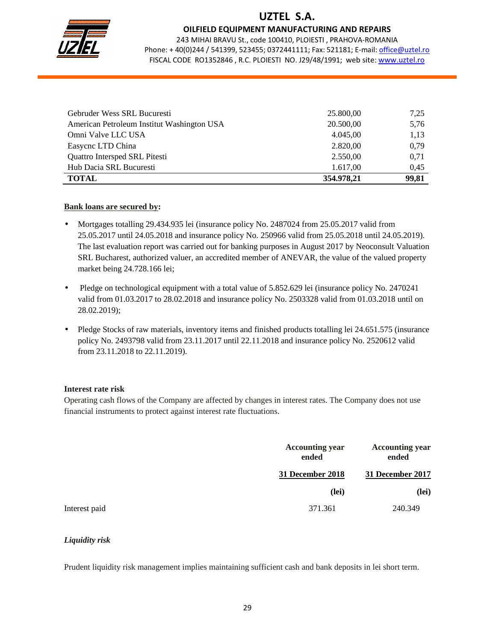

OILFIELD EQUIPMENT MANUFACTURING AND REPAIRS

243 MIHAI BRAVU St., code 100410, PLOIESTI , PRAHOVA-ROMANIA Phone: +40(0)244 / 541399, 523455; 0372441111; Fax: 521181; E-mail: office@uztel.ro FISCAL CODE RO1352846 , R.C. PLOIESTI NO. J29/48/1991; web site: www.uztel.ro

j

| Gebruder Wess SRL Bucuresti                | 25.800,00  | 7,25  |
|--------------------------------------------|------------|-------|
| American Petroleum Institut Washington USA | 20.500,00  | 5,76  |
| Omni Valve LLC USA                         | 4.045,00   | 1,13  |
| Easycnc LTD China                          | 2.820,00   | 0,79  |
| <b>Quattro Intersped SRL Pitesti</b>       | 2.550,00   | 0,71  |
| Hub Dacia SRL Bucuresti                    | 1.617,00   | 0,45  |
| <b>TOTAL</b>                               | 354.978,21 | 99,81 |

### **Bank loans are secured by:**

- Mortgages totalling 29.434.935 lei (insurance policy No. 2487024 from 25.05.2017 valid from 25.05.2017 until 24.05.2018 and insurance policy No. 250966 valid from 25.05.2018 until 24.05.2019). The last evaluation report was carried out for banking purposes in August 2017 by Neoconsult Valuation SRL Bucharest, authorized valuer, an accredited member of ANEVAR, the value of the valued property market being 24.728.166 lei;
- Pledge on technological equipment with a total value of 5.852.629 lei (insurance policy No. 2470241) valid from 01.03.2017 to 28.02.2018 and insurance policy No. 2503328 valid from 01.03.2018 until on 28.02.2019);
- Pledge Stocks of raw materials, inventory items and finished products totalling lei 24.651.575 (insurance policy No. 2493798 valid from 23.11.2017 until 22.11.2018 and insurance policy No. 2520612 valid from 23.11.2018 to 22.11.2019).

#### **Interest rate risk**

Operating cash flows of the Company are affected by changes in interest rates. The Company does not use financial instruments to protect against interest rate fluctuations.

|               | <b>Accounting year</b><br>ended | <b>Accounting year</b><br>ended |
|---------------|---------------------------------|---------------------------------|
|               | 31 December 2018                | 31 December 2017                |
|               | (lei)                           | (lei)                           |
| Interest paid | 371.361                         | 240.349                         |

### *Liquidity risk*

Prudent liquidity risk management implies maintaining sufficient cash and bank deposits in lei short term.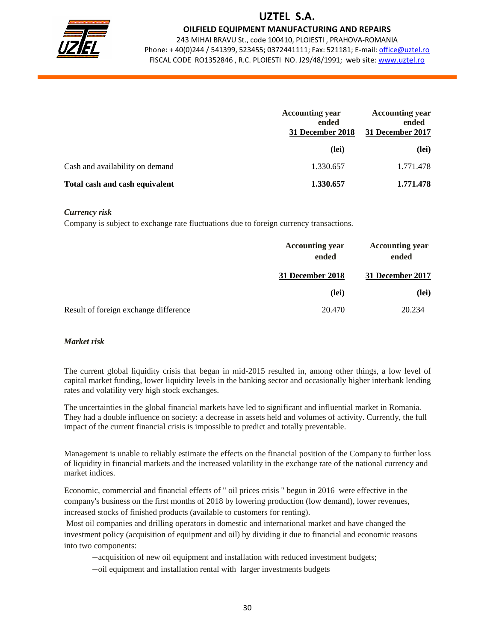

OILFIELD EQUIPMENT MANUFACTURING AND REPAIRS

243 MIHAI BRAVU St., code 100410, PLOIESTI , PRAHOVA-ROMANIA Phone: + 40(0)244 / 541399, 523455; 0372441111; Fax: 521181; E-mail: office@uztel.ro FISCAL CODE RO1352846 , R.C. PLOIESTI NO. J29/48/1991; web site: www.uztel.ro

j

|                                 | <b>Accounting year</b><br>ended<br>31 December 2018 | <b>Accounting year</b><br>ended<br>31 December 2017 |
|---------------------------------|-----------------------------------------------------|-----------------------------------------------------|
|                                 | (lei)                                               | (lei)                                               |
| Cash and availability on demand | 1.330.657                                           | 1.771.478                                           |
| Total cash and cash equivalent  | 1.330.657                                           | 1.771.478                                           |

#### *Currency risk*

Company is subject to exchange rate fluctuations due to foreign currency transactions.

|                                       | <b>Accounting year</b><br>ended | <b>Accounting year</b><br>ended |
|---------------------------------------|---------------------------------|---------------------------------|
|                                       | 31 December 2018                | 31 December 2017                |
|                                       | (lei)                           | (lei)                           |
| Result of foreign exchange difference | 20.470                          | 20.234                          |

#### *Market risk*

The current global liquidity crisis that began in mid-2015 resulted in, among other things, a low level of capital market funding, lower liquidity levels in the banking sector and occasionally higher interbank lending rates and volatility very high stock exchanges.

The uncertainties in the global financial markets have led to significant and influential market in Romania. They had a double influence on society: a decrease in assets held and volumes of activity. Currently, the full impact of the current financial crisis is impossible to predict and totally preventable.

Management is unable to reliably estimate the effects on the financial position of the Company to further loss of liquidity in financial markets and the increased volatility in the exchange rate of the national currency and market indices.

Economic, commercial and financial effects of " oil prices crisis " begun in 2016 were effective in the company's business on the first months of 2018 by lowering production (low demand), lower revenues, increased stocks of finished products (available to customers for renting).

 Most oil companies and drilling operators in domestic and international market and have changed the investment policy (acquisition of equipment and oil) by dividing it due to financial and economic reasons into two components:

- − acquisition of new oil equipment and installation with reduced investment budgets;
- − oil equipment and installation rental with larger investments budgets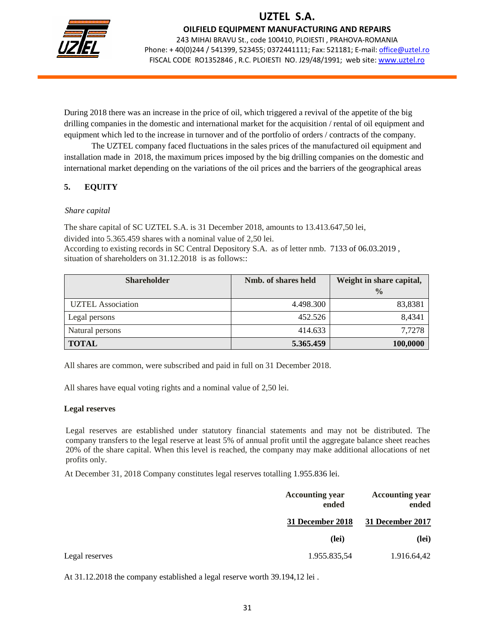

OILFIELD EQUIPMENT MANUFACTURING AND REPAIRS

243 MIHAI BRAVU St., code 100410, PLOIESTI , PRAHOVA-ROMANIA Phone: + 40(0)244 / 541399, 523455; 0372441111; Fax: 521181; E-mail: office@uztel.ro FISCAL CODE RO1352846 , R.C. PLOIESTI NO. J29/48/1991; web site: www.uztel.ro

j

During 2018 there was an increase in the price of oil, which triggered a revival of the appetite of the big drilling companies in the domestic and international market for the acquisition / rental of oil equipment and equipment which led to the increase in turnover and of the portfolio of orders / contracts of the company.

 The UZTEL company faced fluctuations in the sales prices of the manufactured oil equipment and installation made in 2018, the maximum prices imposed by the big drilling companies on the domestic and international market depending on the variations of the oil prices and the barriers of the geographical areas

### **5. EQUITY**

### *Share capital*

The share capital of SC UZTEL S.A. is 31 December 2018, amounts to 13.413.647,50 lei,

divided into 5.365.459 shares with a nominal value of 2,50 lei. According to existing records in SC Central Depository S.A. as of letter nmb. 7133 of 06.03.2019 , situation of shareholders on  $31.12.2018$  is as follows::

| <b>Shareholder</b>       | Nmb. of shares held | Weight in share capital, |
|--------------------------|---------------------|--------------------------|
|                          |                     | $\frac{0}{0}$            |
| <b>UZTEL Association</b> | 4.498.300           | 83,8381                  |
| Legal persons            | 452.526             | 8,4341                   |
| Natural persons          | 414.633             | 7,7278                   |
| <b>TOTAL</b>             | 5.365.459           | 100,0000                 |

All shares are common, were subscribed and paid in full on 31 December 2018.

All shares have equal voting rights and a nominal value of 2,50 lei.

### **Legal reserves**

Legal reserves are established under statutory financial statements and may not be distributed. The company transfers to the legal reserve at least 5% of annual profit until the aggregate balance sheet reaches 20% of the share capital. When this level is reached, the company may make additional allocations of net profits only.

At December 31, 2018 Company constitutes legal reserves totalling 1.955.836 lei.

|                | <b>Accounting year</b><br>ended | <b>Accounting year</b><br>ended |
|----------------|---------------------------------|---------------------------------|
|                | 31 December 2018                | 31 December 2017                |
|                | (lei)                           | (lei)                           |
| Legal reserves | 1.955.835,54                    | 1.916.64,42                     |

At 31.12.2018 the company established a legal reserve worth 39.194,12 lei .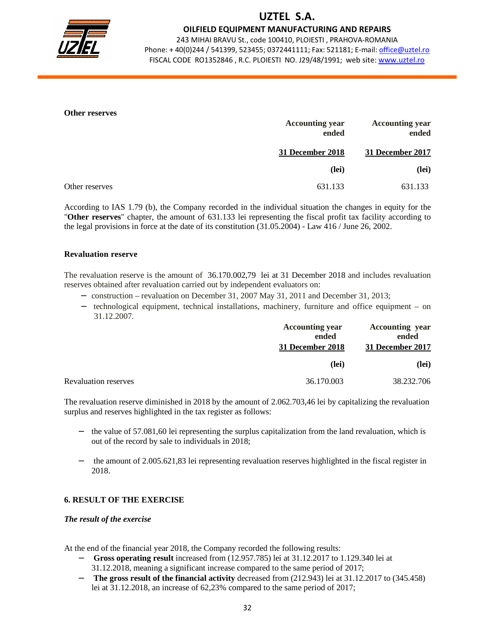

OILFIELD EQUIPMENT MANUFACTURING AND REPAIRS

243 MIHAI BRAVU St., code 100410, PLOIESTI , PRAHOVA-ROMANIA Phone: +40(0)244 / 541399, 523455; 0372441111; Fax: 521181; E-mail: office@uztel.ro FISCAL CODE RO1352846 , R.C. PLOIESTI NO. J29/48/1991; web site: www.uztel.ro

j

#### **Other reserves**

|                | <b>Accounting year</b><br>ended | <b>Accounting year</b><br>ended |
|----------------|---------------------------------|---------------------------------|
|                | 31 December 2018                | 31 December 2017                |
|                | (lei)                           | (lei)                           |
| Other reserves | 631.133                         | 631.133                         |

According to IAS 1.79 (b), the Company recorded in the individual situation the changes in equity for the "**Other reserves**" chapter, the amount of 631.133 lei representing the fiscal profit tax facility according to the legal provisions in force at the date of its constitution (31.05.2004) - Law 416 / June 26, 2002.

#### **Revaluation reserve**

The revaluation reserve is the amount of 36.170.002,79 lei at 31 December 2018 and includes revaluation reserves obtained after revaluation carried out by independent evaluators on:

- − construction revaluation on December 31, 2007 May 31, 2011 and December 31, 2013;
- − technological equipment, technical installations, machinery, furniture and office equipment on 31.12.2007.

|                             | <b>Accounting year</b><br>ended<br>31 December 2018 | <b>Accounting year</b><br>ended<br>31 December 2017 |
|-----------------------------|-----------------------------------------------------|-----------------------------------------------------|
|                             | (lei)                                               | (lei)                                               |
| <b>Revaluation reserves</b> | 36.170.003                                          | 38.232.706                                          |

The revaluation reserve diminished in 2018 by the amount of 2.062.703,46 lei by capitalizing the revaluation surplus and reserves highlighted in the tax register as follows:

- the value of 57.081,60 lei representing the surplus capitalization from the land revaluation, which is out of the record by sale to individuals in 2018;
- the amount of 2.005.621,83 lei representing revaluation reserves highlighted in the fiscal register in 2018.

### **6. RESULT OF THE EXERCISE**

#### *The result of the exercise*

At the end of the financial year 2018, the Company recorded the following results:

- − **Gross operating result** increased from (12.957.785) lei at 31.12.2017 to 1.129.340 lei at
	- 31.12.2018, meaning a significant increase compared to the same period of 2017;
- − **The gross result of the financial activity** decreased from (212.943) lei at 31.12.2017 to (345.458) lei at 31.12.2018, an increase of 62,23% compared to the same period of 2017;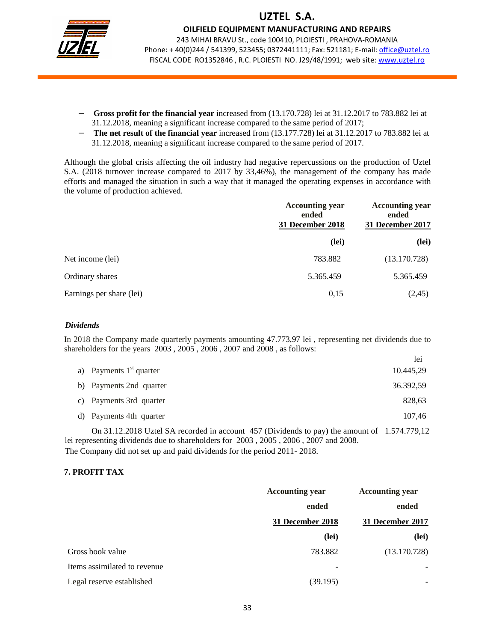

OILFIELD EQUIPMENT MANUFACTURING AND REPAIRS 243 MIHAI BRAVU St., code 100410, PLOIESTI , PRAHOVA-ROMANIA Phone: + 40(0)244 / 541399, 523455; 0372441111; Fax: 521181; E-mail: office@uztel.ro

FISCAL CODE RO1352846 , R.C. PLOIESTI NO. J29/48/1991; web site: www.uztel.ro

j

- − **Gross profit for the financial year** increased from (13.170.728) lei at 31.12.2017 to 783.882 lei at 31.12.2018, meaning a significant increase compared to the same period of 2017;
- − **The net result of the financial year** increased from (13.177.728) lei at 31.12.2017 to 783.882 lei at 31.12.2018, meaning a significant increase compared to the same period of 2017.

Although the global crisis affecting the oil industry had negative repercussions on the production of Uztel S.A. (2018 turnover increase compared to 2017 by 33,46%), the management of the company has made efforts and managed the situation in such a way that it managed the operating expenses in accordance with the volume of production achieved.

|                          | <b>Accounting year</b><br>ended<br><b>31 December 2018</b> | <b>Accounting year</b><br>ended<br>31 December 2017 |
|--------------------------|------------------------------------------------------------|-----------------------------------------------------|
|                          | (lei)                                                      | (lei)                                               |
| Net income (lei)         | 783.882                                                    | (13.170.728)                                        |
| Ordinary shares          | 5.365.459                                                  | 5.365.459                                           |
| Earnings per share (lei) | 0,15                                                       | (2, 45)                                             |

#### *Dividends*

In 2018 the Company made quarterly payments amounting 47.773,97 lei , representing net dividends due to shareholders for the years 2003 , 2005 , 2006 , 2007 and 2008 , as follows:

|                            | lei       |
|----------------------------|-----------|
| a) Payments $1st$ quarter  | 10.445,29 |
| b) Payments 2nd quarter    | 36.392,59 |
| Payments 3rd quarter<br>C) | 828,63    |
| d) Payments 4th quarter    | 107,46    |
|                            |           |

 On 31.12.2018 Uztel SA recorded in account 457 (Dividends to pay) the amount of 1.574.779,12 lei representing dividends due to shareholders for 2003 , 2005 , 2006 , 2007 and 2008. The Company did not set up and paid dividends for the period 2011- 2018.

### **7. PROFIT TAX**

|                              | <b>Accounting year</b>   | <b>Accounting year</b> |
|------------------------------|--------------------------|------------------------|
|                              | ended                    | ended                  |
|                              | 31 December 2018         | 31 December 2017       |
|                              | (lei)                    | (lei)                  |
| Gross book value             | 783.882                  | (13.170.728)           |
| Items assimilated to revenue | $\overline{\phantom{0}}$ |                        |
| Legal reserve established    | (39.195)                 |                        |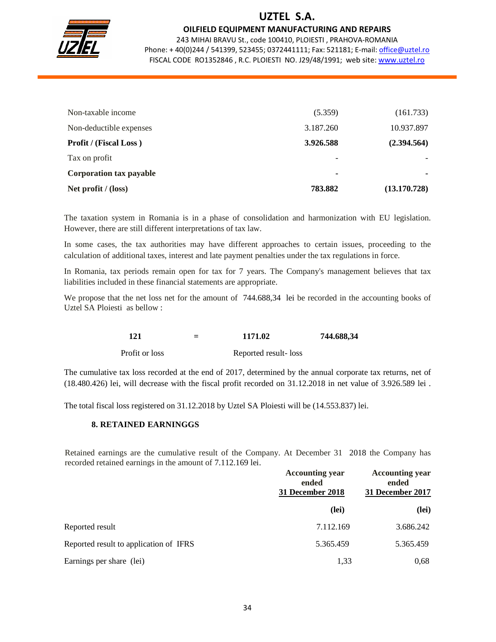

### OILFIELD EQUIPMENT MANUFACTURING AND REPAIRS

243 MIHAI BRAVU St., code 100410, PLOIESTI , PRAHOVA-ROMANIA Phone: +40(0)244 / 541399, 523455; 0372441111; Fax: 521181; E-mail: office@uztel.ro FISCAL CODE RO1352846 , R.C. PLOIESTI NO. J29/48/1991; web site: www.uztel.ro

j

| Non-taxable income             | (5.359)        | (161.733)                |
|--------------------------------|----------------|--------------------------|
| Non-deductible expenses        | 3.187.260      | 10.937.897               |
| <b>Profit / (Fiscal Loss)</b>  | 3.926.588      | (2.394.564)              |
| Tax on profit                  | -              |                          |
| <b>Corporation tax payable</b> | $\blacksquare$ | $\overline{\phantom{a}}$ |
| Net profit $/$ (loss)          | 783.882        | (13.170.728)             |

The taxation system in Romania is in a phase of consolidation and harmonization with EU legislation. However, there are still different interpretations of tax law.

In some cases, the tax authorities may have different approaches to certain issues, proceeding to the calculation of additional taxes, interest and late payment penalties under the tax regulations in force.

In Romania, tax periods remain open for tax for 7 years. The Company's management believes that tax liabilities included in these financial statements are appropriate.

We propose that the net loss net for the amount of 744.688,34 lei be recorded in the accounting books of Uztel SA Ploiesti as bellow :

| 121 |  | 1171.02<br>$\sim$ $\sim$ $\sim$ | 744.688,34 |
|-----|--|---------------------------------|------------|
|-----|--|---------------------------------|------------|

Profit or loss Reported result- loss

The cumulative tax loss recorded at the end of 2017, determined by the annual corporate tax returns, net of (18.480.426) lei, will decrease with the fiscal profit recorded on 31.12.2018 in net value of 3.926.589 lei .

The total fiscal loss registered on 31.12.2018 by Uztel SA Ploiesti will be (14.553.837) lei.

### **8. RETAINED EARNINGGS**

Retained earnings are the cumulative result of the Company. At December 31 2018 the Company has recorded retained earnings in the amount of 7.112.169 lei.

|                                        | <b>Accounting year</b><br>ended<br>31 December 2018 | <b>Accounting year</b><br>ended<br>31 December 2017 |  |
|----------------------------------------|-----------------------------------------------------|-----------------------------------------------------|--|
|                                        | (lei)                                               | (lei)                                               |  |
| Reported result                        | 7.112.169                                           | 3.686.242                                           |  |
| Reported result to application of IFRS | 5.365.459                                           | 5.365.459                                           |  |
| Earnings per share (lei)               | 1,33                                                | 0,68                                                |  |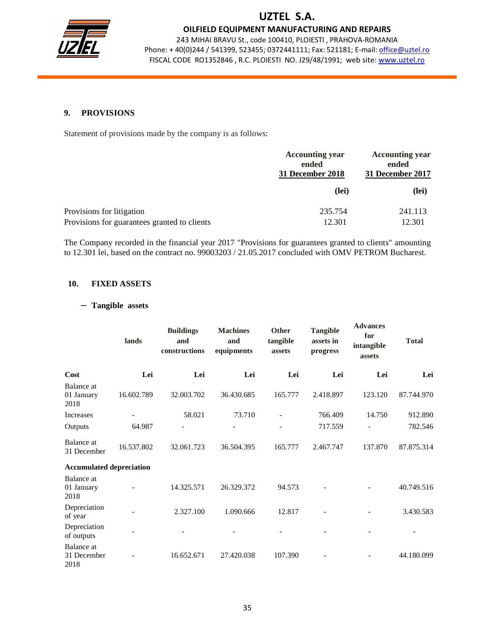

OILFIELD EQUIPMENT MANUFACTURING AND REPAIRS

243 MIHAI BRAVU St., code 100410, PLOIESTI , PRAHOVA-ROMANIA Phone: + 40(0)244 / 541399, 523455; 0372441111; Fax: 521181; E-mail: office@uztel.ro FISCAL CODE RO1352846 , R.C. PLOIESTI NO. J29/48/1991; web site: www.uztel.ro

j

### **9. PROVISIONS**

Statement of provisions made by the company is as follows:

|                                                                           | <b>Accounting year</b><br>ended<br>31 December 2018 | <b>Accounting year</b><br>ended<br>31 December 2017 |
|---------------------------------------------------------------------------|-----------------------------------------------------|-----------------------------------------------------|
|                                                                           | (lei)                                               | (lei)                                               |
| Provisions for litigation<br>Provisions for guarantees granted to clients | 235.754<br>12.301                                   | 241.113<br>12.301                                   |

The Company recorded in the financial year 2017 "Provisions for guarantees granted to clients" amounting to 12.301 lei, based on the contract no. 99003203 / 21.05.2017 concluded with OMV PETROM Bucharest.

### **10. FIXED ASSETS**

#### − **Tangible assets**

|                                         | lands      | <b>Buildings</b><br>and<br>constructions | <b>Machines</b><br>and<br>equipments | Other<br>tangible<br>assets | <b>Tangible</b><br>assets in<br>progress | <b>Advances</b><br>for<br>intangible<br>assets | <b>Total</b> |
|-----------------------------------------|------------|------------------------------------------|--------------------------------------|-----------------------------|------------------------------------------|------------------------------------------------|--------------|
| Cost                                    | Lei        | Lei                                      | Lei                                  | Lei                         | Lei                                      | Lei                                            | Lei          |
| <b>Balance</b> at<br>01 January<br>2018 | 16.602.789 | 32.003.702                               | 36.430.685                           | 165.777                     | 2.418.897                                | 123.120                                        | 87.744.970   |
| Increases                               |            | 58.021                                   | 73.710                               |                             | 766.409                                  | 14.750                                         | 912.890      |
| Outputs                                 | 64.987     |                                          |                                      |                             | 717.559                                  |                                                | 782.546      |
| Balance at<br>31 December               | 16.537.802 | 32.061.723                               | 36.504.395                           | 165.777                     | 2.467.747                                | 137.870                                        | 87.875.314   |
| <b>Accumulated depreciation</b>         |            |                                          |                                      |                             |                                          |                                                |              |
| Balance at<br>01 January<br>2018        |            | 14.325.571                               | 26.329.372                           | 94.573                      |                                          |                                                | 40.749.516   |
| Depreciation<br>of year                 |            | 2.327.100                                | 1.090.666                            | 12.817                      |                                          |                                                | 3.430.583    |
| Depreciation<br>of outputs              |            |                                          |                                      |                             |                                          |                                                |              |
| Balance at<br>31 December<br>2018       |            | 16.652.671                               | 27.420.038                           | 107.390                     |                                          |                                                | 44.180.099   |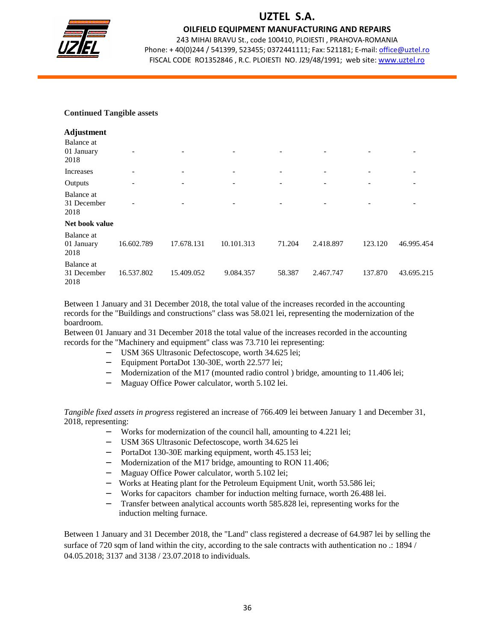

OILFIELD EQUIPMENT MANUFACTURING AND REPAIRS

243 MIHAI BRAVU St., code 100410, PLOIESTI , PRAHOVA-ROMANIA Phone: +40(0)244 / 541399, 523455; 0372441111; Fax: 521181; E-mail: office@uztel.ro FISCAL CODE RO1352846 , R.C. PLOIESTI NO. J29/48/1991; web site: www.uztel.ro

j

#### **Continued Tangible assets**

| <b>Adjustment</b>                 |            |                          |                          |                          |                          |                          |                |
|-----------------------------------|------------|--------------------------|--------------------------|--------------------------|--------------------------|--------------------------|----------------|
| Balance at<br>01 January<br>2018  |            |                          |                          |                          |                          |                          |                |
| Increases                         |            | $\overline{\phantom{a}}$ | $\overline{\phantom{a}}$ | $\overline{\phantom{a}}$ | $\overline{\phantom{a}}$ | $\overline{\phantom{a}}$ | $\overline{a}$ |
| Outputs                           |            |                          | $\overline{\phantom{a}}$ |                          | $\overline{\phantom{0}}$ | $\qquad \qquad$          |                |
| Balance at<br>31 December<br>2018 |            |                          |                          |                          | -                        | -                        |                |
| Net book value                    |            |                          |                          |                          |                          |                          |                |
| Balance at<br>01 January<br>2018  | 16.602.789 | 17.678.131               | 10.101.313               | 71.204                   | 2.418.897                | 123.120                  | 46.995.454     |
| Balance at<br>31 December<br>2018 | 16.537.802 | 15.409.052               | 9.084.357                | 58.387                   | 2.467.747                | 137.870                  | 43.695.215     |

Between 1 January and 31 December 2018, the total value of the increases recorded in the accounting records for the "Buildings and constructions" class was 58.021 lei, representing the modernization of the boardroom.

Between 01 January and 31 December 2018 the total value of the increases recorded in the accounting records for the "Machinery and equipment" class was 73.710 lei representing:

- − USM 36S Ultrasonic Defectoscope, worth 34.625 lei;
- − Equipment PortaDot 130-30E, worth 22.577 lei;
- Modernization of the M17 (mounted radio control) bridge, amounting to 11.406 lei;
- − Maguay Office Power calculator, worth 5.102 lei.

*Tangible fixed assets in progress* registered an increase of 766.409 lei between January 1 and December 31, 2018, representing:

- Works for modernization of the council hall, amounting to 4.221 lei;
- − USM 36S Ultrasonic Defectoscope, worth 34.625 lei
- − PortaDot 130-30E marking equipment, worth 45.153 lei;
- Modernization of the M17 bridge, amounting to RON 11.406;
- − Maguay Office Power calculator, worth 5.102 lei;
- Works at Heating plant for the Petroleum Equipment Unit, worth 53.586 lei;
- − Works for capacitors chamber for induction melting furnace, worth 26.488 lei.
- Transfer between analytical accounts worth 585.828 lei, representing works for the induction melting furnace.

Between 1 January and 31 December 2018, the "Land" class registered a decrease of 64.987 lei by selling the surface of 720 sqm of land within the city, according to the sale contracts with authentication no .: 1894 / 04.05.2018; 3137 and 3138 / 23.07.2018 to individuals.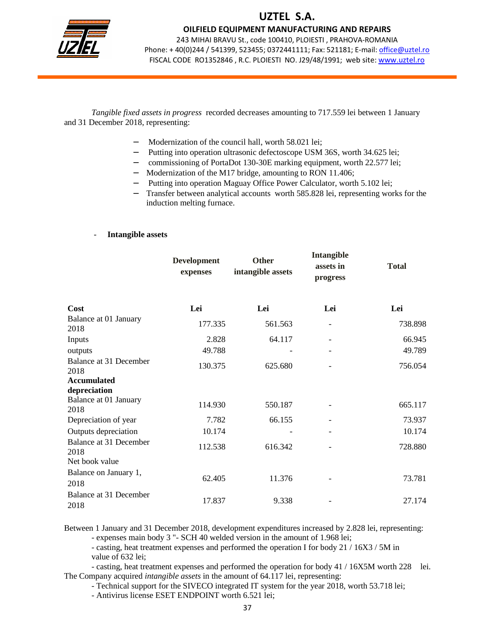

OILFIELD EQUIPMENT MANUFACTURING AND REPAIRS

243 MIHAI BRAVU St., code 100410, PLOIESTI , PRAHOVA-ROMANIA Phone: + 40(0)244 / 541399, 523455; 0372441111; Fax: 521181; E-mail: office@uztel.ro FISCAL CODE RO1352846 , R.C. PLOIESTI NO. J29/48/1991; web site: www.uztel.ro

j

*Tangible fixed assets in progress* recorded decreases amounting to 717.559 lei between 1 January and 31 December 2018, representing:

- Modernization of the council hall, worth 58.021 lei;
- Putting into operation ultrasonic defectoscope USM 36S, worth 34.625 lei;
- − commissioning of PortaDot 130-30E marking equipment, worth 22.577 lei;
- − Modernization of the M17 bridge, amounting to RON 11.406;
- − Putting into operation Maguay Office Power Calculator, worth 5.102 lei;
- − Transfer between analytical accounts worth 585.828 lei, representing works for the induction melting furnace.

#### - **Intangible assets**

|                                | <b>Development</b><br>expenses | <b>Other</b><br>intangible assets | Intangible<br>assets in<br>progress | <b>Total</b> |
|--------------------------------|--------------------------------|-----------------------------------|-------------------------------------|--------------|
| Cost                           | Lei                            | Lei                               | Lei                                 | Lei          |
| Balance at 01 January<br>2018  | 177.335                        | 561.563                           | $\qquad \qquad -$                   | 738.898      |
| Inputs                         | 2.828                          | 64.117                            |                                     | 66.945       |
| outputs                        | 49.788                         |                                   |                                     | 49.789       |
| Balance at 31 December<br>2018 | 130.375                        | 625.680                           |                                     | 756.054      |
| <b>Accumulated</b>             |                                |                                   |                                     |              |
| depreciation                   |                                |                                   |                                     |              |
| Balance at 01 January<br>2018  | 114.930                        | 550.187                           | $\overline{a}$                      | 665.117      |
| Depreciation of year           | 7.782                          | 66.155                            |                                     | 73.937       |
| Outputs depreciation           | 10.174                         |                                   | $\overline{a}$                      | 10.174       |
| Balance at 31 December<br>2018 | 112.538                        | 616.342                           |                                     | 728.880      |
| Net book value                 |                                |                                   |                                     |              |
| Balance on January 1,<br>2018  | 62.405                         | 11.376                            |                                     | 73.781       |
| Balance at 31 December<br>2018 | 17.837                         | 9.338                             |                                     | 27.174       |

Between 1 January and 31 December 2018, development expenditures increased by 2.828 lei, representing:

- expenses main body 3 "- SCH 40 welded version in the amount of 1.968 lei;

 - casting, heat treatment expenses and performed the operation I for body 21 / 16X3 / 5M in value of 632 lei;

 - casting, heat treatment expenses and performed the operation for body 41 / 16X5M worth 228 lei. The Company acquired *intangible assets* in the amount of 64.117 lei, representing:

- Technical support for the SIVECO integrated IT system for the year 2018, worth 53.718 lei;

- Antivirus license ESET ENDPOINT worth 6.521 lei;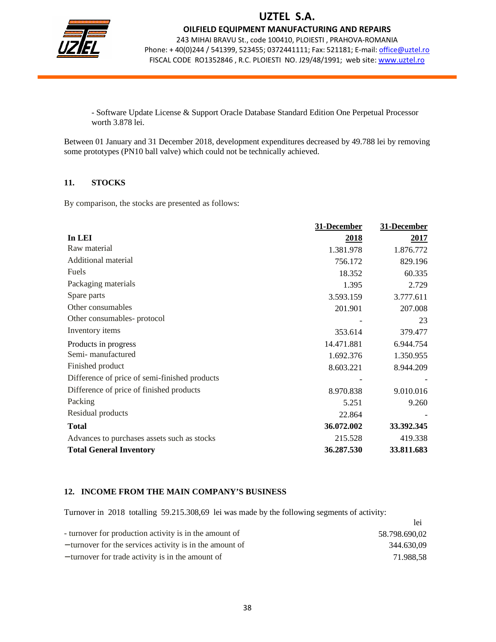

OILFIELD EQUIPMENT MANUFACTURING AND REPAIRS

243 MIHAI BRAVU St., code 100410, PLOIESTI , PRAHOVA-ROMANIA Phone: + 40(0)244 / 541399, 523455; 0372441111; Fax: 521181; E-mail: office@uztel.ro FISCAL CODE RO1352846, R.C. PLOIESTI NO. J29/48/1991; web site: www.uztel.ro

j

 - Software Update License & Support Oracle Database Standard Edition One Perpetual Processor worth 3.878 lei.

Between 01 January and 31 December 2018, development expenditures decreased by 49.788 lei by removing some prototypes (PN10 ball valve) which could not be technically achieved.

### **11. STOCKS**

By comparison, the stocks are presented as follows:

|                                               | 31-December | 31-December |
|-----------------------------------------------|-------------|-------------|
| In LEI                                        | 2018        | 2017        |
| Raw material                                  | 1.381.978   | 1.876.772   |
| Additional material                           | 756.172     | 829.196     |
| Fuels                                         | 18.352      | 60.335      |
| Packaging materials                           | 1.395       | 2.729       |
| Spare parts                                   | 3.593.159   | 3.777.611   |
| Other consumables                             | 201.901     | 207.008     |
| Other consumables-protocol                    |             | 23          |
| Inventory items                               | 353.614     | 379.477     |
| Products in progress                          | 14.471.881  | 6.944.754   |
| Semi-manufactured                             | 1.692.376   | 1.350.955   |
| Finished product                              | 8.603.221   | 8.944.209   |
| Difference of price of semi-finished products |             |             |
| Difference of price of finished products      | 8.970.838   | 9.010.016   |
| Packing                                       | 5.251       | 9.260       |
| Residual products                             | 22.864      |             |
| <b>Total</b>                                  | 36.072.002  | 33.392.345  |
| Advances to purchases assets such as stocks   | 215.528     | 419.338     |
| <b>Total General Inventory</b>                | 36.287.530  | 33.811.683  |

### **12. INCOME FROM THE MAIN COMPANY'S BUSINESS**

Turnover in 2018 totalling 59.215.308,69 lei was made by the following segments of activity:

|                                                          | lei           |
|----------------------------------------------------------|---------------|
| - turnover for production activity is in the amount of   | 58.798.690,02 |
| - turnover for the services activity is in the amount of | 344.630.09    |
| - turnover for trade activity is in the amount of        | 71.988.58     |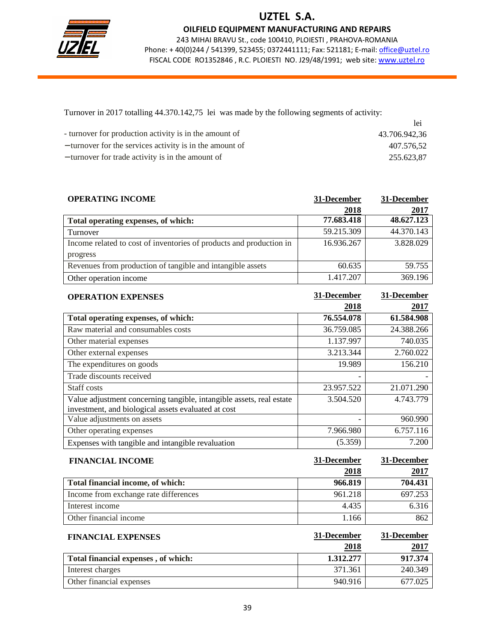

OILFIELD EQUIPMENT MANUFACTURING AND REPAIRS

243 MIHAI BRAVU St., code 100410, PLOIESTI , PRAHOVA-ROMANIA Phone: +40(0)244 / 541399, 523455; 0372441111; Fax: 521181; E-mail: office@uztel.ro FISCAL CODE RO1352846 , R.C. PLOIESTI NO. J29/48/1991; web site: www.uztel.ro

j

Turnover in 2017 totalling 44.370.142,75 lei was made by the following segments of activity:

|                                                          | lei           |
|----------------------------------------------------------|---------------|
| - turnover for production activity is in the amount of   | 43.706.942,36 |
| - turnover for the services activity is in the amount of | 407.576.52    |
| - turnover for trade activity is in the amount of        | 255.623.87    |

| <b>OPERATING INCOME</b>                                             | 31-December | 31-December |
|---------------------------------------------------------------------|-------------|-------------|
|                                                                     | 2018        | 2017        |
| Total operating expenses, of which:                                 | 77.683.418  | 48.627.123  |
| Turnover                                                            | 59.215.309  | 44.370.143  |
| Income related to cost of inventories of products and production in | 16.936.267  | 3.828.029   |
| progress                                                            |             |             |
| Revenues from production of tangible and intangible assets          | 60.635      | 59.755      |
| Other operation income                                              | 1.417.207   | 369.196     |

| <b>OPERATION EXPENSES</b>                                                                                                   | 31-December | 31-December |
|-----------------------------------------------------------------------------------------------------------------------------|-------------|-------------|
|                                                                                                                             | 2018        | 2017        |
| Total operating expenses, of which:                                                                                         | 76.554.078  | 61.584.908  |
| Raw material and consumables costs                                                                                          | 36.759.085  | 24.388.266  |
| Other material expenses                                                                                                     | 1.137.997   | 740.035     |
| Other external expenses                                                                                                     | 3.213.344   | 2.760.022   |
| The expenditures on goods                                                                                                   | 19.989      | 156.210     |
| Trade discounts received                                                                                                    |             |             |
| Staff costs                                                                                                                 | 23.957.522  | 21.071.290  |
| Value adjustment concerning tangible, intangible assets, real estate<br>investment, and biological assets evaluated at cost | 3.504.520   | 4.743.779   |
| Value adjustments on assets                                                                                                 |             | 960.990     |
| Other operating expenses                                                                                                    | 7.966.980   | 6.757.116   |
| Expenses with tangible and intangible revaluation                                                                           | (5.359)     | 7.200       |

| <b>FINANCIAL INCOME</b>               | 31-December | 31-December |
|---------------------------------------|-------------|-------------|
|                                       | 2018        | 2017        |
| Total financial income, of which:     | 966.819     | 704.431     |
| Income from exchange rate differences | 961.218     | 697.253     |
| Interest income                       | 4.435       | 6.316       |
| Other financial income                | 1.166       | 862         |

| <b>FINANCIAL EXPENSES</b>           | 31-December | 31-December |
|-------------------------------------|-------------|-------------|
|                                     | 2018        | <u>2017</u> |
| Total financial expenses, of which: | 1.312.277   | 917.374     |
| Interest charges                    | 371.361     | 240.349     |
| Other financial expenses            | 940.916     | 677.025     |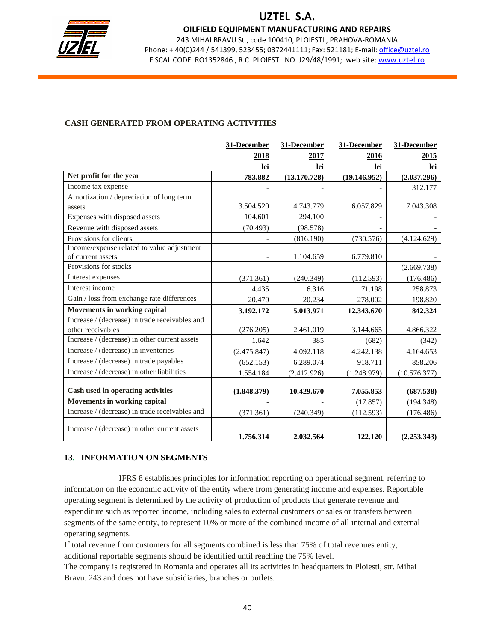

OILFIELD EQUIPMENT MANUFACTURING AND REPAIRS

243 MIHAI BRAVU St., code 100410, PLOIESTI , PRAHOVA-ROMANIA Phone: + 40(0)244 / 541399, 523455; 0372441111; Fax: 521181; E-mail: office@uztel.ro FISCAL CODE RO1352846 , R.C. PLOIESTI NO. J29/48/1991; web site: www.uztel.ro

j

### **CASH GENERATED FROM OPERATING ACTIVITIES**

|                                                | 31-December              | 31-December  | 31-December  | 31-December  |
|------------------------------------------------|--------------------------|--------------|--------------|--------------|
|                                                | 2018                     | 2017         | 2016         | 2015         |
|                                                | lei                      | lei          | lei          | lei          |
| Net profit for the year                        | 783.882                  | (13.170.728) | (19.146.952) | (2.037.296)  |
| Income tax expense                             |                          |              |              | 312.177      |
| Amortization / depreciation of long term       |                          |              |              |              |
| assets                                         | 3.504.520                | 4.743.779    | 6.057.829    | 7.043.308    |
| Expenses with disposed assets                  | 104.601                  | 294.100      |              |              |
| Revenue with disposed assets                   | (70.493)                 | (98.578)     |              |              |
| Provisions for clients                         |                          | (816.190)    | (730.576)    | (4.124.629)  |
| Income/expense related to value adjustment     |                          |              |              |              |
| of current assets                              | $\overline{\phantom{0}}$ | 1.104.659    | 6.779.810    |              |
| Provisions for stocks                          |                          |              |              | (2.669.738)  |
| Interest expenses                              | (371.361)                | (240.349)    | (112.593)    | (176.486)    |
| Interest income                                | 4.435                    | 6.316        | 71.198       | 258.873      |
| Gain / loss from exchange rate differences     | 20.470                   | 20.234       | 278.002      | 198.820      |
| <b>Movements in working capital</b>            | 3.192.172                | 5.013.971    | 12.343.670   | 842.324      |
| Increase / (decrease) in trade receivables and |                          |              |              |              |
| other receivables                              | (276.205)                | 2.461.019    | 3.144.665    | 4.866.322    |
| Increase / (decrease) in other current assets  | 1.642                    | 385          | (682)        | (342)        |
| Increase / (decrease) in inventories           | (2.475.847)              | 4.092.118    | 4.242.138    | 4.164.653    |
| Increase / (decrease) in trade payables        | (652.153)                | 6.289.074    | 918.711      | 858.206      |
| Increase / (decrease) in other liabilities     | 1.554.184                | (2.412.926)  | (1.248.979)  | (10.576.377) |
|                                                |                          |              |              |              |
| Cash used in operating activities              | (1.848.379)              | 10.429.670   | 7.055.853    | (687.538)    |
| Movements in working capital                   |                          |              | (17.857)     | (194.348)    |
| Increase / (decrease) in trade receivables and | (371.361)                | (240.349)    | (112.593)    | (176.486)    |
| Increase / (decrease) in other current assets  | 1.756.314                | 2.032.564    | 122.120      | (2.253.343)  |

### **13. INFORMATION ON SEGMENTS**

 IFRS 8 establishes principles for information reporting on operational segment, referring to information on the economic activity of the entity where from generating income and expenses. Reportable operating segment is determined by the activity of production of products that generate revenue and expenditure such as reported income, including sales to external customers or sales or transfers between segments of the same entity, to represent 10% or more of the combined income of all internal and external operating segments.

If total revenue from customers for all segments combined is less than 75% of total revenues entity, additional reportable segments should be identified until reaching the 75% level.

The company is registered in Romania and operates all its activities in headquarters in Ploiesti, str. Mihai Bravu. 243 and does not have subsidiaries, branches or outlets.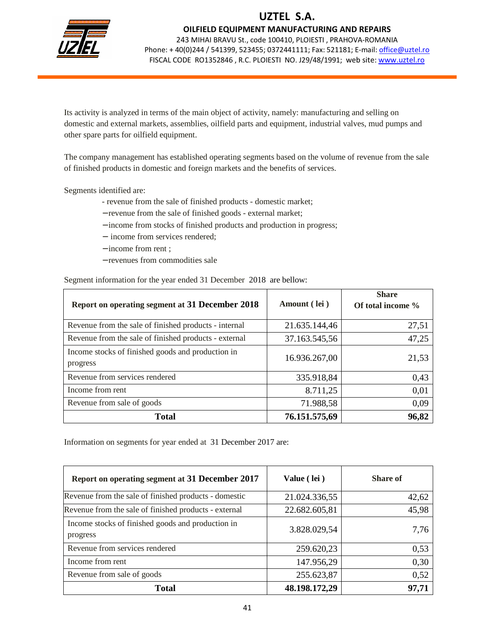

### OILFIELD EQUIPMENT MANUFACTURING AND REPAIRS

243 MIHAI BRAVU St., code 100410, PLOIESTI , PRAHOVA-ROMANIA Phone: + 40(0)244 / 541399, 523455; 0372441111; Fax: 521181; E-mail: office@uztel.ro FISCAL CODE RO1352846, R.C. PLOIESTI NO. J29/48/1991; web site: www.uztel.ro

j

Its activity is analyzed in terms of the main object of activity, namely: manufacturing and selling on domestic and external markets, assemblies, oilfield parts and equipment, industrial valves, mud pumps and other spare parts for oilfield equipment.

The company management has established operating segments based on the volume of revenue from the sale of finished products in domestic and foreign markets and the benefits of services.

Segments identified are:

- revenue from the sale of finished products domestic market;
- − revenue from the sale of finished goods external market;
- − income from stocks of finished products and production in progress;
- − income from services rendered;
- − income from rent ;
- − revenues from commodities sale

Segment information for the year ended 31 December 2018 are bellow:

| Report on operating segment at 31 December 2018               | Amount (lei)  | <b>Share</b><br>Of total income % |
|---------------------------------------------------------------|---------------|-----------------------------------|
| Revenue from the sale of finished products - internal         | 21.635.144,46 | 27,51                             |
| Revenue from the sale of finished products - external         | 37.163.545,56 | 47,25                             |
| Income stocks of finished goods and production in<br>progress | 16.936.267,00 | 21,53                             |
| Revenue from services rendered                                | 335.918,84    | 0,43                              |
| Income from rent                                              | 8.711,25      | 0,01                              |
| Revenue from sale of goods                                    | 71.988,58     | 0,09                              |
| <b>Total</b>                                                  | 76.151.575,69 | 96,82                             |

Information on segments for year ended at 31 December 2017 are:

| Report on operating segment at 31 December 2017               | Value (lei)   | <b>Share of</b> |
|---------------------------------------------------------------|---------------|-----------------|
| Revenue from the sale of finished products - domestic         | 21.024.336,55 | 42,62           |
| Revenue from the sale of finished products - external         | 22.682.605,81 | 45,98           |
| Income stocks of finished goods and production in<br>progress | 3.828.029,54  | 7,76            |
| Revenue from services rendered                                | 259.620,23    | 0,53            |
| Income from rent                                              | 147.956,29    | 0,30            |
| Revenue from sale of goods                                    | 255.623,87    | 0,52            |
| <b>Total</b>                                                  | 48.198.172,29 | 97,71           |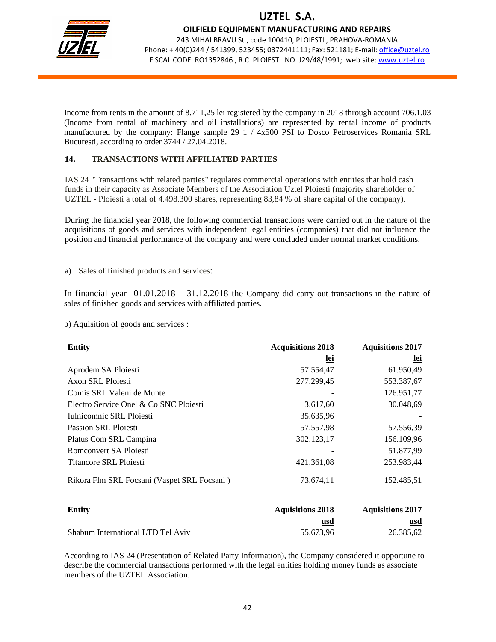

OILFIELD EQUIPMENT MANUFACTURING AND REPAIRS

243 MIHAI BRAVU St., code 100410, PLOIESTI , PRAHOVA-ROMANIA Phone: +40(0)244 / 541399, 523455; 0372441111; Fax: 521181; E-mail: office@uztel.ro FISCAL CODE RO1352846 , R.C. PLOIESTI NO. J29/48/1991; web site: www.uztel.ro

j

Income from rents in the amount of 8.711,25 lei registered by the company in 2018 through account 706.1.03 (Income from rental of machinery and oil installations) are represented by rental income of products manufactured by the company: Flange sample 29 1 / 4x500 PSI to Dosco Petroservices Romania SRL Bucuresti, according to order 3744 / 27.04.2018.

### **14. TRANSACTIONS WITH AFFILIATED PARTIES**

IAS 24 "Transactions with related parties" regulates commercial operations with entities that hold cash funds in their capacity as Associate Members of the Association Uztel Ploiesti (majority shareholder of UZTEL - Ploiesti a total of 4.498.300 shares, representing 83,84 % of share capital of the company).

During the financial year 2018, the following commercial transactions were carried out in the nature of the acquisitions of goods and services with independent legal entities (companies) that did not influence the position and financial performance of the company and were concluded under normal market conditions.

a) Sales of finished products and services:

In financial year  $01.01.2018 - 31.12.2018$  the Company did carry out transactions in the nature of sales of finished goods and services with affiliated parties.

b) Aquisition of goods and services :

| <b>Entity</b>                               | <b>Acquisitions 2018</b> | <b>Aquisitions 2017</b> |
|---------------------------------------------|--------------------------|-------------------------|
|                                             | lei                      | <u>lei</u>              |
| Aprodem SA Ploiesti                         | 57.554,47                | 61.950,49               |
| Axon SRL Ploiesti                           | 277.299,45               | 553.387,67              |
| Comis SRL Valeni de Munte                   |                          | 126.951,77              |
| Electro Service Onel & Co SNC Ploiesti      | 3.617,60                 | 30.048,69               |
| Iulnicomnic SRL Ploiesti                    | 35.635,96                |                         |
| Passion SRL Ploiesti                        | 57.557,98                | 57.556,39               |
| Platus Com SRL Campina                      | 302.123,17               | 156.109,96              |
| Romconvert SA Ploiesti                      |                          | 51.877,99               |
| Titancore SRL Ploiesti                      | 421.361,08               | 253.983,44              |
| Rikora Flm SRL Focsani (Vaspet SRL Focsani) | 73.674,11                | 152.485,51              |

| <b>Entity</b>                     | <b>Aquisitions 2018</b> | <b>Aquisitions 2017</b> |
|-----------------------------------|-------------------------|-------------------------|
|                                   | usd                     | usd                     |
| Shabum International LTD Tel Aviv | 55.673.96               | 26.385.62               |

According to IAS 24 (Presentation of Related Party Information), the Company considered it opportune to describe the commercial transactions performed with the legal entities holding money funds as associate members of the UZTEL Association.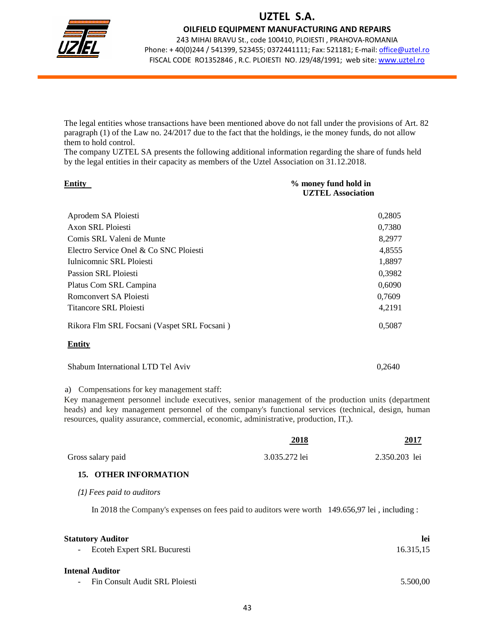

OILFIELD EQUIPMENT MANUFACTURING AND REPAIRS

243 MIHAI BRAVU St., code 100410, PLOIESTI , PRAHOVA-ROMANIA Phone: + 40(0)244 / 541399, 523455; 0372441111; Fax: 521181; E-mail: office@uztel.ro FISCAL CODE RO1352846 , R.C. PLOIESTI NO. J29/48/1991; web site: www.uztel.ro

j

The legal entities whose transactions have been mentioned above do not fall under the provisions of Art. 82 paragraph (1) of the Law no. 24/2017 due to the fact that the holdings, ie the money funds, do not allow them to hold control.

The company UZTEL SA presents the following additional information regarding the share of funds held by the legal entities in their capacity as members of the Uztel Association on 31.12.2018.

| Entitv                                      | % money fund hold in<br><b>UZTEL Association</b> |
|---------------------------------------------|--------------------------------------------------|
| Aprodem SA Ploiesti                         | 0,2805                                           |
| Axon SRL Ploiesti                           | 0,7380                                           |
| Comis SRL Valeni de Munte                   | 8,2977                                           |
| Electro Service Onel & Co SNC Ploiesti      | 4,8555                                           |
| Iulnicomnic SRL Ploiesti                    | 1,8897                                           |
| <b>Passion SRL Ploiesti</b>                 | 0,3982                                           |
| Platus Com SRL Campina                      | 0,6090                                           |
| Romconvert SA Ploiesti                      | 0,7609                                           |
| Titancore SRL Ploiesti                      | 4,2191                                           |
| Rikora Flm SRL Focsani (Vaspet SRL Focsani) | 0,5087                                           |
| Entity                                      |                                                  |
| Shabum International LTD Tel Aviv           | 0,2640                                           |

a) Compensations for key management staff:

Key management personnel include executives, senior management of the production units (department heads) and key management personnel of the company's functional services (technical, design, human resources, quality assurance, commercial, economic, administrative, production, IT,).

|                                                                                                | 2018          | 2017             |
|------------------------------------------------------------------------------------------------|---------------|------------------|
| Gross salary paid                                                                              | 3.035.272 lei | 2.350.203 lei    |
| <b>15. OTHER INFORMATION</b>                                                                   |               |                  |
| $(1)$ Fees paid to auditors                                                                    |               |                  |
| In 2018 the Company's expenses on fees paid to auditors were worth 149.656,97 lei, including : |               |                  |
| <b>Statutory Auditor</b><br>Ecoteh Expert SRL Bucuresti                                        |               | lei<br>16.315,15 |
| Intenal Auditor                                                                                |               |                  |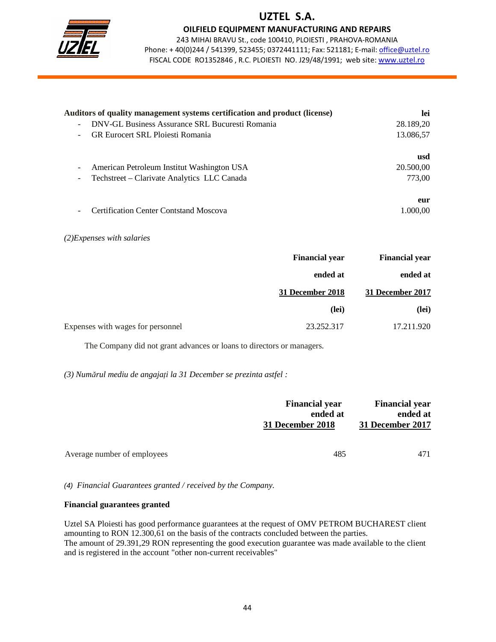

OILFIELD EQUIPMENT MANUFACTURING AND REPAIRS

243 MIHAI BRAVU St., code 100410, PLOIESTI , PRAHOVA-ROMANIA Phone: + 40(0)244 / 541399, 523455; 0372441111; Fax: 521181; E-mail: office@uztel.ro FISCAL CODE RO1352846 , R.C. PLOIESTI NO. J29/48/1991; web site: www.uztel.ro

j

| Auditors of quality management systems certification and product (license) | lei       |
|----------------------------------------------------------------------------|-----------|
| DNV-GL Business Assurance SRL Bucuresti Romania                            | 28.189,20 |
| <b>GR Eurocert SRL Ploiesti Romania</b>                                    | 13.086,57 |
|                                                                            | usd       |
| American Petroleum Institut Washington USA                                 | 20.500,00 |
| Techstreet – Clarivate Analytics LLC Canada                                | 773,00    |
|                                                                            | eur       |
| <b>Certification Center Contstand Moscova</b>                              | 1.000.00  |

#### *(2)Expenses with salaries*

| <b>Financial year</b>                           | <b>Financial year</b> |
|-------------------------------------------------|-----------------------|
| ended at                                        | ended at              |
| 31 December 2018                                | 31 December 2017      |
|                                                 | (lei)<br>(lei)        |
| 23.252.317<br>Expenses with wages for personnel | 17.211.920            |

The Company did not grant advances or loans to directors or managers.

*(3) Num*ă*rul mediu de angaja*ţ*i la 31 December se prezinta astfel :* 

|                             | <b>Financial year</b><br>ended at<br>31 December 2018 | <b>Financial year</b><br>ended at<br>31 December 2017 |
|-----------------------------|-------------------------------------------------------|-------------------------------------------------------|
| Average number of employees | 485                                                   | 471                                                   |

(4) *Financial Guarantees granted / received by the Company.* 

#### **Financial guarantees granted**

Uztel SA Ploiesti has good performance guarantees at the request of OMV PETROM BUCHAREST client amounting to RON 12.300,61 on the basis of the contracts concluded between the parties. The amount of 29.391,29 RON representing the good execution guarantee was made available to the client and is registered in the account "other non-current receivables"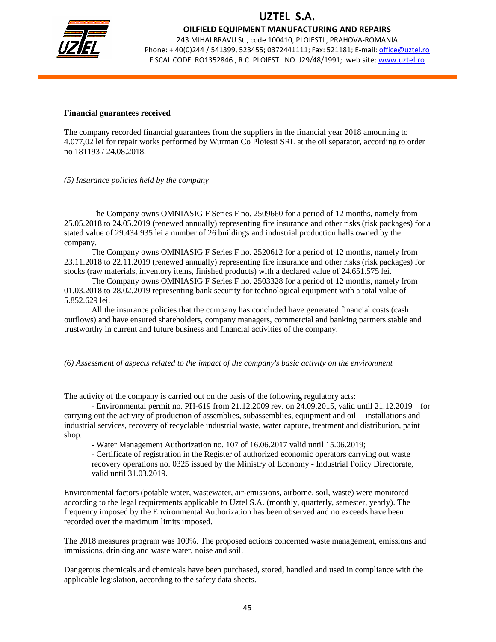

OILFIELD EQUIPMENT MANUFACTURING AND REPAIRS

243 MIHAI BRAVU St., code 100410, PLOIESTI , PRAHOVA-ROMANIA Phone: + 40(0)244 / 541399, 523455; 0372441111; Fax: 521181; E-mail: office@uztel.ro FISCAL CODE RO1352846 , R.C. PLOIESTI NO. J29/48/1991; web site: www.uztel.ro

j

#### **Financial guarantees received**

The company recorded financial guarantees from the suppliers in the financial year 2018 amounting to 4.077,02 lei for repair works performed by Wurman Co Ploiesti SRL at the oil separator, according to order no 181193 / 24.08.2018.

*(5) Insurance policies held by the company*

The Company owns OMNIASIG F Series F no. 2509660 for a period of 12 months, namely from 25.05.2018 to 24.05.2019 (renewed annually) representing fire insurance and other risks (risk packages) for a stated value of 29.434.935 lei a number of 26 buildings and industrial production halls owned by the company.

The Company owns OMNIASIG F Series F no. 2520612 for a period of 12 months, namely from 23.11.2018 to 22.11.2019 (renewed annually) representing fire insurance and other risks (risk packages) for stocks (raw materials, inventory items, finished products) with a declared value of 24.651.575 lei.

The Company owns OMNIASIG F Series F no. 2503328 for a period of 12 months, namely from 01.03.2018 to 28.02.2019 representing bank security for technological equipment with a total value of 5.852.629 lei.

All the insurance policies that the company has concluded have generated financial costs (cash outflows) and have ensured shareholders, company managers, commercial and banking partners stable and trustworthy in current and future business and financial activities of the company.

*(6) Assessment of aspects related to the impact of the company's basic activity on the environment* 

The activity of the company is carried out on the basis of the following regulatory acts:

- Environmental permit no. PH-619 from 21.12.2009 rev. on 24.09.2015, valid until 21.12.2019 for carrying out the activity of production of assemblies, subassemblies, equipment and oil installations and industrial services, recovery of recyclable industrial waste, water capture, treatment and distribution, paint shop.

- Water Management Authorization no. 107 of 16.06.2017 valid until 15.06.2019;

- Certificate of registration in the Register of authorized economic operators carrying out waste recovery operations no. 0325 issued by the Ministry of Economy - Industrial Policy Directorate, valid until 31.03.2019.

Environmental factors (potable water, wastewater, air-emissions, airborne, soil, waste) were monitored according to the legal requirements applicable to Uztel S.A. (monthly, quarterly, semester, yearly). The frequency imposed by the Environmental Authorization has been observed and no exceeds have been recorded over the maximum limits imposed.

The 2018 measures program was 100%. The proposed actions concerned waste management, emissions and immissions, drinking and waste water, noise and soil.

Dangerous chemicals and chemicals have been purchased, stored, handled and used in compliance with the applicable legislation, according to the safety data sheets.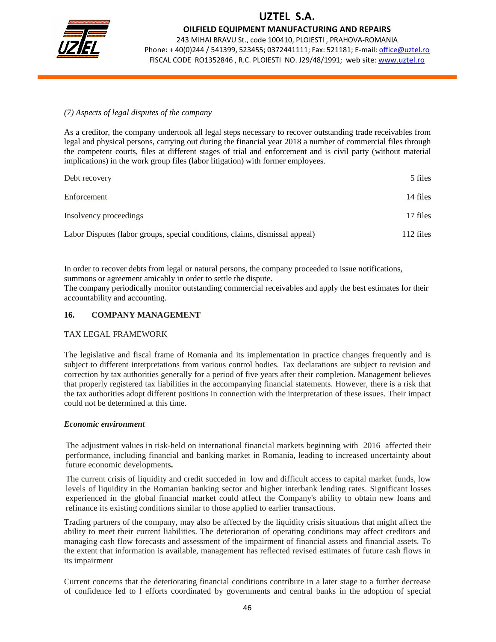

OILFIELD EQUIPMENT MANUFACTURING AND REPAIRS

243 MIHAI BRAVU St., code 100410, PLOIESTI , PRAHOVA-ROMANIA Phone: + 40(0)244 / 541399, 523455; 0372441111; Fax: 521181; E-mail: office@uztel.ro FISCAL CODE RO1352846 , R.C. PLOIESTI NO. J29/48/1991; web site: www.uztel.ro

j

#### *(7) Aspects of legal disputes of the company*

As a creditor, the company undertook all legal steps necessary to recover outstanding trade receivables from legal and physical persons, carrying out during the financial year 2018 a number of commercial files through the competent courts, files at different stages of trial and enforcement and is civil party (without material implications) in the work group files (labor litigation) with former employees.

| Debt recovery                                                               | 5 files   |
|-----------------------------------------------------------------------------|-----------|
| Enforcement                                                                 | 14 files  |
| Insolvency proceedings                                                      | 17 files  |
| Labor Disputes (labor groups, special conditions, claims, dismissal appeal) | 112 files |

In order to recover debts from legal or natural persons, the company proceeded to issue notifications, summons or agreement amicably in order to settle the dispute.

The company periodically monitor outstanding commercial receivables and apply the best estimates for their accountability and accounting.

### **16. COMPANY MANAGEMENT**

#### TAX LEGAL FRAMEWORK

The legislative and fiscal frame of Romania and its implementation in practice changes frequently and is subject to different interpretations from various control bodies. Tax declarations are subject to revision and correction by tax authorities generally for a period of five years after their completion. Management believes that properly registered tax liabilities in the accompanying financial statements. However, there is a risk that the tax authorities adopt different positions in connection with the interpretation of these issues. Their impact could not be determined at this time.

#### *Economic environment*

The adjustment values in risk-held on international financial markets beginning with 2016 affected their performance, including financial and banking market in Romania, leading to increased uncertainty about future economic developments**.**

The current crisis of liquidity and credit succeded in low and difficult access to capital market funds, low levels of liquidity in the Romanian banking sector and higher interbank lending rates. Significant losses experienced in the global financial market could affect the Company's ability to obtain new loans and refinance its existing conditions similar to those applied to earlier transactions.

Trading partners of the company, may also be affected by the liquidity crisis situations that might affect the ability to meet their current liabilities. The deterioration of operating conditions may affect creditors and managing cash flow forecasts and assessment of the impairment of financial assets and financial assets. To the extent that information is available, management has reflected revised estimates of future cash flows in its impairment

Current concerns that the deteriorating financial conditions contribute in a later stage to a further decrease of confidence led to l efforts coordinated by governments and central banks in the adoption of special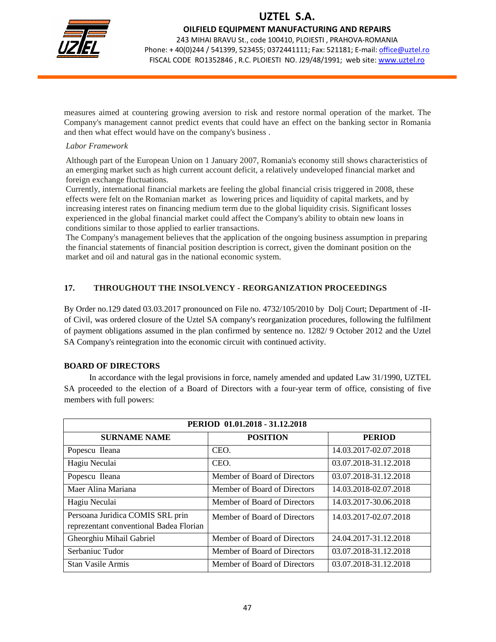

OILFIELD EQUIPMENT MANUFACTURING AND REPAIRS

243 MIHAI BRAVU St., code 100410, PLOIESTI , PRAHOVA-ROMANIA Phone: +40(0)244 / 541399, 523455; 0372441111; Fax: 521181; E-mail: office@uztel.ro FISCAL CODE RO1352846 , R.C. PLOIESTI NO. J29/48/1991; web site: www.uztel.ro

j

measures aimed at countering growing aversion to risk and restore normal operation of the market. The Company's management cannot predict events that could have an effect on the banking sector in Romania and then what effect would have on the company's business .

#### *Labor Framework*

Although part of the European Union on 1 January 2007, Romania's economy still shows characteristics of an emerging market such as high current account deficit, a relatively undeveloped financial market and foreign exchange fluctuations.

Currently, international financial markets are feeling the global financial crisis triggered in 2008, these effects were felt on the Romanian market as lowering prices and liquidity of capital markets, and by increasing interest rates on financing medium term due to the global liquidity crisis. Significant losses experienced in the global financial market could affect the Company's ability to obtain new loans in conditions similar to those applied to earlier transactions.

The Company's management believes that the application of the ongoing business assumption in preparing the financial statements of financial position description is correct, given the dominant position on the market and oil and natural gas in the national economic system.

### **17. THROUGHOUT THE INSOLVENCY - REORGANIZATION PROCEEDINGS**

By Order no.129 dated 03.03.2017 pronounced on File no. 4732/105/2010 by Dolj Court; Department of -IIof Civil, was ordered closure of the Uztel SA company's reorganization procedures, following the fulfilment of payment obligations assumed in the plan confirmed by sentence no. 1282/ 9 October 2012 and the Uztel SA Company's reintegration into the economic circuit with continued activity.

### **BOARD OF DIRECTORS**

 In accordance with the legal provisions in force, namely amended and updated Law 31/1990, UZTEL SA proceeded to the election of a Board of Directors with a four-year term of office, consisting of five members with full powers:

| PERIOD 01.01.2018 - 31.12.2018                                              |                              |                       |  |  |
|-----------------------------------------------------------------------------|------------------------------|-----------------------|--|--|
| <b>SURNAME NAME</b>                                                         | <b>POSITION</b>              | <b>PERIOD</b>         |  |  |
| Popescu Ileana                                                              | CEO.                         | 14.03.2017-02.07.2018 |  |  |
| Hagiu Neculai                                                               | CEO.                         | 03.07.2018-31.12.2018 |  |  |
| Popescu Ileana                                                              | Member of Board of Directors | 03.07.2018-31.12.2018 |  |  |
| Maer Alina Mariana                                                          | Member of Board of Directors | 14.03.2018-02.07.2018 |  |  |
| Hagiu Neculai                                                               | Member of Board of Directors | 14.03.2017-30.06.2018 |  |  |
| Persoana Juridica COMIS SRL prin<br>reprezentant conventional Badea Florian | Member of Board of Directors | 14.03.2017-02.07.2018 |  |  |
| Gheorghiu Mihail Gabriel                                                    | Member of Board of Directors | 24.04.2017-31.12.2018 |  |  |
| Serbaniuc Tudor                                                             | Member of Board of Directors | 03.07.2018-31.12.2018 |  |  |
| <b>Stan Vasile Armis</b>                                                    | Member of Board of Directors | 03.07.2018-31.12.2018 |  |  |